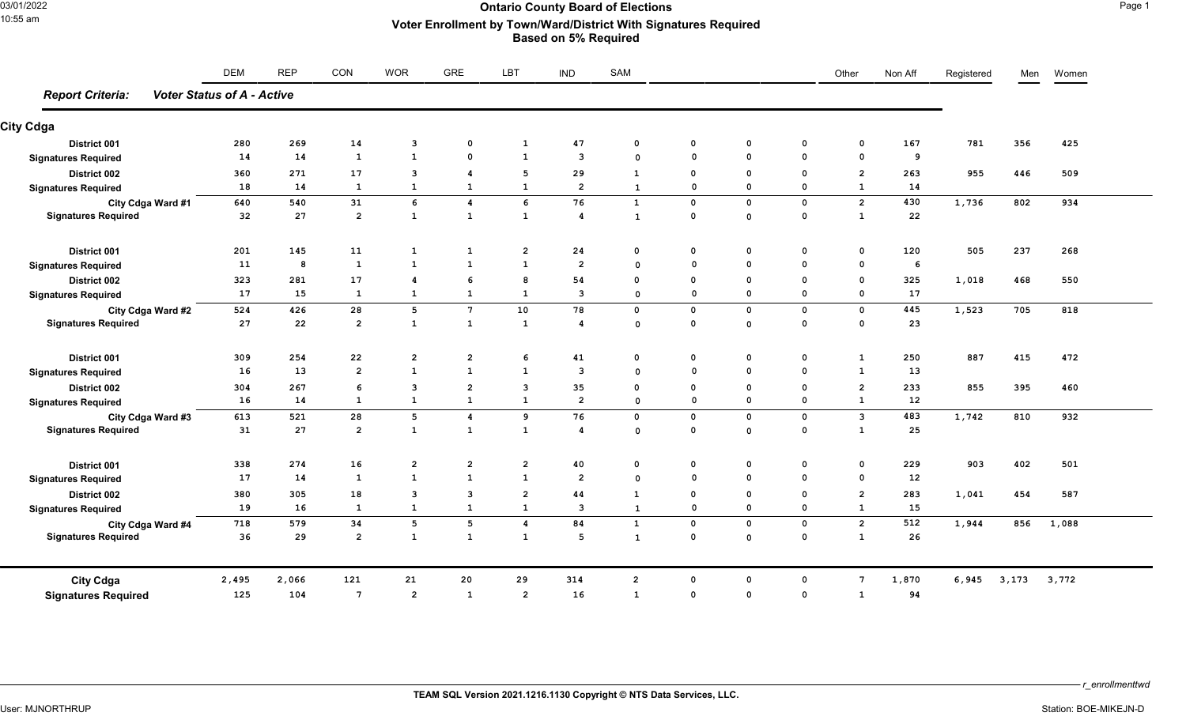# 03/01/2022 **Ontario County Board of Elections** Page 1 10:55 am **Voter Enrollment by Town/Ward/District With Signatures Required Based on 5% Required**

| <b>Report Criteria:</b><br><b>Voter Status of A - Active</b><br><b>City Cdga</b><br>District 001<br><b>Signatures Required</b><br>District 002<br><b>Signatures Required</b><br>City Cdga Ward #1<br><b>Signatures Required</b><br><b>District 001</b><br><b>Signatures Required</b><br><b>District 002</b><br><b>Signatures Required</b><br>City Cdga Ward #2<br><b>Signatures Required</b><br>District 001<br><b>Signatures Required</b><br>District 002<br><b>Signatures Required</b><br>City Cdga Ward #3<br><b>Signatures Required</b> | 280<br>14<br>360<br>18<br>640<br>32<br>201<br>11<br>323<br>17<br>524 | 269<br>14<br>271<br>14<br>540<br>27<br>145<br>8<br>281<br>15 | 14<br>1<br>17<br>1<br>31<br>$\overline{2}$<br>11<br>$\mathbf{1}$ | $\mathbf{3}$<br>$\mathbf{1}$<br>$\overline{\mathbf{3}}$<br>$\mathbf{1}$<br>6<br>$\mathbf 1$<br>1<br>$\mathbf{1}$ | $\mathbf 0$<br>$\mathbf 0$<br>4<br>$\mathbf{1}$<br>$\boldsymbol{4}$<br>$\mathbf{1}$<br>$\mathbf{1}$ | $\mathbf{1}$<br>1<br>5<br>1<br>6<br>$\mathbf{1}$ | 47<br>3<br>29<br>$\overline{2}$<br>76<br>$\overline{\mathbf{4}}$ | $\mathbf 0$<br>$\Omega$<br>1<br>$\mathbf{1}$<br>$\mathbf{1}$<br>$\mathbf{1}$ | $\mathbf 0$<br>$\Omega$<br>$\mathbf 0$<br>$\mathbf 0$<br>$\mathbf 0$<br>$\mathbf 0$ | $\mathbf 0$<br>$\mathbf 0$<br>$\mathbf 0$<br>$\mathbf 0$<br>$\mathbf 0$<br>$\mathbf{o}$ | 0<br>$\mathbf 0$<br>$\mathbf 0$<br>$\mathbf 0$<br>$\mathbf 0$<br>$\mathbf 0$ | $\mathbf 0$<br>$\mathbf 0$<br>$\overline{2}$<br>1<br>$\overline{2}$<br>$\mathbf 1$ | 167<br>9<br>263<br>14<br>430<br>22 | 781<br>955<br>1,736 | 356<br>446<br>802 | 425<br>509<br>934 |
|---------------------------------------------------------------------------------------------------------------------------------------------------------------------------------------------------------------------------------------------------------------------------------------------------------------------------------------------------------------------------------------------------------------------------------------------------------------------------------------------------------------------------------------------|----------------------------------------------------------------------|--------------------------------------------------------------|------------------------------------------------------------------|------------------------------------------------------------------------------------------------------------------|-----------------------------------------------------------------------------------------------------|--------------------------------------------------|------------------------------------------------------------------|------------------------------------------------------------------------------|-------------------------------------------------------------------------------------|-----------------------------------------------------------------------------------------|------------------------------------------------------------------------------|------------------------------------------------------------------------------------|------------------------------------|---------------------|-------------------|-------------------|
|                                                                                                                                                                                                                                                                                                                                                                                                                                                                                                                                             |                                                                      |                                                              |                                                                  |                                                                                                                  |                                                                                                     |                                                  |                                                                  |                                                                              |                                                                                     |                                                                                         |                                                                              |                                                                                    |                                    |                     |                   |                   |
|                                                                                                                                                                                                                                                                                                                                                                                                                                                                                                                                             |                                                                      |                                                              |                                                                  |                                                                                                                  |                                                                                                     |                                                  |                                                                  |                                                                              |                                                                                     |                                                                                         |                                                                              |                                                                                    |                                    |                     |                   |                   |
|                                                                                                                                                                                                                                                                                                                                                                                                                                                                                                                                             |                                                                      |                                                              |                                                                  |                                                                                                                  |                                                                                                     |                                                  |                                                                  |                                                                              |                                                                                     |                                                                                         |                                                                              |                                                                                    |                                    |                     |                   |                   |
|                                                                                                                                                                                                                                                                                                                                                                                                                                                                                                                                             |                                                                      |                                                              |                                                                  |                                                                                                                  |                                                                                                     |                                                  |                                                                  |                                                                              |                                                                                     |                                                                                         |                                                                              |                                                                                    |                                    |                     |                   |                   |
|                                                                                                                                                                                                                                                                                                                                                                                                                                                                                                                                             |                                                                      |                                                              |                                                                  |                                                                                                                  |                                                                                                     |                                                  |                                                                  |                                                                              |                                                                                     |                                                                                         |                                                                              |                                                                                    |                                    |                     |                   |                   |
|                                                                                                                                                                                                                                                                                                                                                                                                                                                                                                                                             |                                                                      |                                                              |                                                                  |                                                                                                                  |                                                                                                     |                                                  |                                                                  |                                                                              |                                                                                     |                                                                                         |                                                                              |                                                                                    |                                    |                     |                   |                   |
|                                                                                                                                                                                                                                                                                                                                                                                                                                                                                                                                             |                                                                      |                                                              |                                                                  |                                                                                                                  |                                                                                                     |                                                  |                                                                  |                                                                              |                                                                                     |                                                                                         |                                                                              |                                                                                    |                                    |                     |                   |                   |
|                                                                                                                                                                                                                                                                                                                                                                                                                                                                                                                                             |                                                                      |                                                              |                                                                  |                                                                                                                  |                                                                                                     |                                                  |                                                                  |                                                                              |                                                                                     |                                                                                         |                                                                              |                                                                                    |                                    |                     |                   |                   |
|                                                                                                                                                                                                                                                                                                                                                                                                                                                                                                                                             |                                                                      |                                                              |                                                                  |                                                                                                                  |                                                                                                     | $\overline{2}$                                   | 24                                                               | $\mathbf 0$                                                                  | $\mathbf{o}$                                                                        | $\mathbf 0$                                                                             | $\mathbf 0$                                                                  | $\mathbf 0$                                                                        | 120                                | 505                 | 237               | 268               |
|                                                                                                                                                                                                                                                                                                                                                                                                                                                                                                                                             |                                                                      |                                                              |                                                                  |                                                                                                                  | $\mathbf{1}$                                                                                        | 1                                                | $\overline{2}$                                                   | $\Omega$                                                                     | $\Omega$                                                                            | $\mathbf 0$                                                                             | $\mathbf 0$                                                                  | $\mathbf{o}$                                                                       | 6                                  |                     |                   |                   |
|                                                                                                                                                                                                                                                                                                                                                                                                                                                                                                                                             |                                                                      |                                                              | 17                                                               | $\overline{4}$                                                                                                   | 6                                                                                                   | 8                                                | 54                                                               | $\mathbf 0$                                                                  | $\Omega$                                                                            | $\mathbf 0$                                                                             | $\mathbf 0$                                                                  | $\mathbf 0$                                                                        | 325                                | 1,018               | 468               | 550               |
|                                                                                                                                                                                                                                                                                                                                                                                                                                                                                                                                             |                                                                      |                                                              | $\mathbf{1}$                                                     | $\mathbf 1$                                                                                                      | $\mathbf{1}$                                                                                        | $\mathbf{1}$                                     | 3                                                                | $\mathbf 0$                                                                  | $\mathbf 0$                                                                         | $\mathsf{o}$                                                                            | $\mathbf 0$                                                                  | $\mathbf 0$                                                                        | 17                                 |                     |                   |                   |
|                                                                                                                                                                                                                                                                                                                                                                                                                                                                                                                                             |                                                                      | 426                                                          | 28                                                               | $5\phantom{.0}$                                                                                                  | $7\phantom{.0}$                                                                                     | 10                                               | 78                                                               | $\mathbf 0$                                                                  | $\mathbf 0$                                                                         | $\mathbf 0$                                                                             | 0                                                                            | $\mathbf 0$                                                                        | 445                                | 1,523               | 705               | 818               |
|                                                                                                                                                                                                                                                                                                                                                                                                                                                                                                                                             | 27                                                                   | 22                                                           | $\overline{2}$                                                   | $\mathbf{1}$                                                                                                     | $\mathbf{1}$                                                                                        | $\mathbf{1}$                                     | $\boldsymbol{4}$                                                 | $\mathbf 0$                                                                  | $\mathbf 0$                                                                         | $\mathsf{o}\,$                                                                          | $\mathbf 0$                                                                  | $\mathbf 0$                                                                        | 23                                 |                     |                   |                   |
|                                                                                                                                                                                                                                                                                                                                                                                                                                                                                                                                             | 309                                                                  | 254                                                          | 22                                                               | $\overline{2}$                                                                                                   | $\overline{2}$                                                                                      | 6                                                | 41                                                               | $\mathbf 0$                                                                  | $\mathbf 0$                                                                         | $\mathbf 0$                                                                             | 0                                                                            | $\mathbf{1}$                                                                       | 250                                | 887                 | 415               | 472               |
|                                                                                                                                                                                                                                                                                                                                                                                                                                                                                                                                             | 16                                                                   | 13                                                           | $\overline{2}$                                                   | $\mathbf{1}$                                                                                                     | $\mathbf{1}$                                                                                        | $\mathbf{1}$                                     | 3                                                                | $\Omega$                                                                     | $\Omega$                                                                            | $\mathbf 0$                                                                             | $\mathbf 0$                                                                  | $\mathbf{1}$                                                                       | 13                                 |                     |                   |                   |
|                                                                                                                                                                                                                                                                                                                                                                                                                                                                                                                                             | 304                                                                  | 267                                                          | 6                                                                | $\overline{\mathbf{3}}$                                                                                          | $\overline{2}$                                                                                      | 3                                                | 35                                                               | $\mathbf 0$                                                                  | $\mathbf 0$                                                                         | $\mathbf 0$                                                                             | 0                                                                            | $\overline{2}$                                                                     | 233                                | 855                 | 395               | 460               |
|                                                                                                                                                                                                                                                                                                                                                                                                                                                                                                                                             | 16                                                                   | 14                                                           | $\mathbf{1}$                                                     | $\mathbf{1}$                                                                                                     | $\mathbf{1}$                                                                                        | $\mathbf{1}$                                     | $\overline{2}$                                                   | $\mathbf 0$                                                                  | $\mathbf 0$                                                                         | $\mathsf{o}$                                                                            | $\mathbf 0$                                                                  | $\mathbf{1}$                                                                       | 12                                 |                     |                   |                   |
|                                                                                                                                                                                                                                                                                                                                                                                                                                                                                                                                             | 613                                                                  | 521                                                          | 28                                                               | $5\phantom{.0}$                                                                                                  | $\boldsymbol{4}$                                                                                    | 9                                                | 76                                                               | $\mathbf 0$                                                                  | $\mathbf 0$                                                                         | $\mathsf{o}$                                                                            | $\mathbf 0$                                                                  | $\mathbf{3}$                                                                       | 483                                | 1,742               | 810               | 932               |
|                                                                                                                                                                                                                                                                                                                                                                                                                                                                                                                                             | 31                                                                   | 27                                                           | $\overline{2}$                                                   | $\mathbf{1}$                                                                                                     | $\mathbf{1}$                                                                                        | 1                                                | 4                                                                | $\Omega$                                                                     | $\mathbf{o}$                                                                        | $\mathbf{o}$                                                                            | 0                                                                            | $\mathbf{1}$                                                                       | 25                                 |                     |                   |                   |
| District 001                                                                                                                                                                                                                                                                                                                                                                                                                                                                                                                                | 338                                                                  | 274                                                          | 16                                                               | $\overline{2}$                                                                                                   | $\overline{2}$                                                                                      | $\overline{2}$                                   | 40                                                               | $\mathbf 0$                                                                  | $\mathbf{o}$                                                                        | $\mathbf 0$                                                                             | $\mathbf 0$                                                                  | $\mathbf{o}$                                                                       | 229                                | 903                 | 402               | 501               |
| <b>Signatures Required</b>                                                                                                                                                                                                                                                                                                                                                                                                                                                                                                                  | 17                                                                   | 14                                                           | $\mathbf{1}$                                                     | $\mathbf{1}$                                                                                                     | $\mathbf{1}$                                                                                        | $\mathbf{1}$                                     | $\overline{2}$                                                   | $\Omega$                                                                     | $\mathbf{0}$                                                                        | $\mathsf{o}$                                                                            | $\mathbf 0$                                                                  | $\mathbf 0$                                                                        | 12                                 |                     |                   |                   |
| District 002                                                                                                                                                                                                                                                                                                                                                                                                                                                                                                                                | 380                                                                  | 305                                                          | 18                                                               | $\overline{\mathbf{3}}$                                                                                          | 3                                                                                                   | $\overline{2}$                                   | 44                                                               | $\mathbf{1}$                                                                 | $\Omega$                                                                            | $\mathbf 0$                                                                             | 0                                                                            | $\overline{2}$                                                                     | 283                                | 1,041               | 454               | 587               |
| <b>Signatures Required</b>                                                                                                                                                                                                                                                                                                                                                                                                                                                                                                                  | 19                                                                   | 16                                                           | $\mathbf{1}$                                                     | $\mathbf{1}$                                                                                                     | $\mathbf{1}$                                                                                        | $\mathbf{1}$                                     | 3                                                                | $\mathbf{1}$                                                                 | $\mathbf 0$                                                                         | $\mathbf 0$                                                                             | $\mathsf{o}\,$                                                               | $\mathbf{1}$                                                                       | 15                                 |                     |                   |                   |
| City Cdga Ward #4                                                                                                                                                                                                                                                                                                                                                                                                                                                                                                                           | 718                                                                  | 579                                                          | 34                                                               | $5\phantom{.0}$                                                                                                  | 5                                                                                                   | 4                                                | 84                                                               | $\mathbf{1}$                                                                 | $\mathbf 0$                                                                         | $\mathbf 0$                                                                             | 0                                                                            | $\overline{\mathbf{c}}$                                                            | 512                                | 1,944               | 856               | 1,088             |
| <b>Signatures Required</b>                                                                                                                                                                                                                                                                                                                                                                                                                                                                                                                  | 36                                                                   | 29                                                           | $\overline{2}$                                                   | $\mathbf{1}$                                                                                                     | $\mathbf{1}$                                                                                        | 1                                                | 5                                                                | $\mathbf{1}$                                                                 | $\Omega$                                                                            | $\mathbf 0$                                                                             | $\mathbf 0$                                                                  | $\mathbf{1}$                                                                       | 26                                 |                     |                   |                   |
| <b>City Cdga</b>                                                                                                                                                                                                                                                                                                                                                                                                                                                                                                                            | 2,495                                                                | 2,066                                                        | 121                                                              | 21                                                                                                               | 20                                                                                                  | 29                                               | 314                                                              | $\overline{2}$                                                               | $\Omega$                                                                            | $\mathbf 0$                                                                             | $\mathbf 0$                                                                  | $\overline{7}$                                                                     | 1,870                              | 6,945               | 3,173             | 3,772             |
| <b>Signatures Required</b>                                                                                                                                                                                                                                                                                                                                                                                                                                                                                                                  | 125                                                                  | 104                                                          | $7\phantom{.0}$                                                  | $\overline{2}$                                                                                                   | $\mathbf{1}$                                                                                        | $\overline{2}$                                   | 16                                                               | $\mathbf{1}$                                                                 | $\mathbf 0$                                                                         | $\mathbf 0$                                                                             | $\mathbf 0$                                                                  | $\mathbf{1}$                                                                       | 94                                 |                     |                   |                   |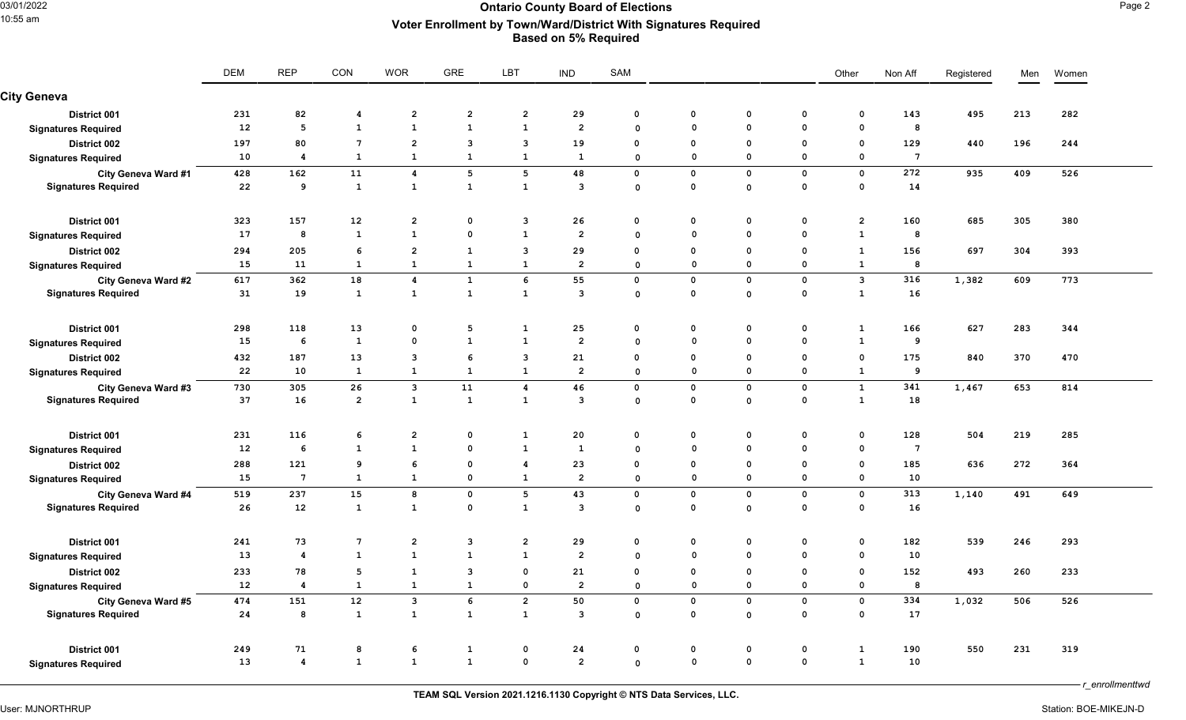## 03/01/2022 **Ontario County Board of Elections** Page 2 10:55 am **Voter Enrollment by Town/Ward/District With Signatures Required Based on 5% Required**

|                            | <b>DEM</b> | <b>REP</b>       | CON             | <b>WOR</b>              | GRE            | LBT                     | <b>IND</b>     | SAM          |             |              |                | Other                   | Non Aff         | Registered | Men | Women |
|----------------------------|------------|------------------|-----------------|-------------------------|----------------|-------------------------|----------------|--------------|-------------|--------------|----------------|-------------------------|-----------------|------------|-----|-------|
| <b>City Geneva</b>         |            |                  |                 |                         |                |                         |                |              |             |              |                |                         |                 |            |     |       |
| District 001               | 231        | 82               | 4               | $\overline{2}$          | $\overline{a}$ | $\overline{a}$          | 29             | $\mathbf 0$  | $\mathbf 0$ | $\mathbf 0$  | 0              | $\mathbf 0$             | 143             | 495        | 213 | 282   |
| <b>Signatures Required</b> | 12         | $5\phantom{.0}$  | $\mathbf{1}$    | $\mathbf{1}$            | $\mathbf{1}$   | $\mathbf{1}$            | $\overline{2}$ | $\Omega$     | $\mathbf 0$ | $\mathbf 0$  | $\mathbf 0$    | $\mathbf 0$             | 8               |            |     |       |
| District 002               | 197        | 80               | $7\phantom{.0}$ | $\overline{2}$          | $\mathbf{3}$   | 3                       | 19             | $\mathbf{o}$ | $\mathbf 0$ | $\Omega$     | $\mathbf 0$    | $\mathbf 0$             | 129             | 440        | 196 | 244   |
| <b>Signatures Required</b> | 10         | 4                | 1               | $\mathbf{1}$            | $\mathbf{1}$   | $\mathbf{1}$            | $\mathbf{1}$   | $\Omega$     | $\mathbf 0$ | $\Omega$     | $\mathbf 0$    | $\Omega$                | $7\phantom{.0}$ |            |     |       |
| City Geneva Ward #1        | 428        | 162              | 11              | $\overline{\mathbf{4}}$ | 5              | 5                       | 48             | $\mathbf 0$  | $\mathbf 0$ | $\mathbf{o}$ | $\mathbf 0$    | $\mathbf 0$             | 272             | 935        | 409 | 526   |
| <b>Signatures Required</b> | 22         | 9                | $\mathbf{1}$    | $\mathbf{1}$            | $\mathbf{1}$   | $\mathbf{1}$            | 3              | $\mathsf{o}$ | $\mathbf 0$ | $\mathbf{o}$ | $\mathbf 0$    | $\mathbf 0$             | 14              |            |     |       |
| District 001               | 323        | 157              | 12              | $\overline{\mathbf{2}}$ | $\mathbf{o}$   | $\mathbf{3}$            | 26             | $\mathbf 0$  | $\mathbf 0$ | $\mathbf 0$  | $\mathsf{o}\,$ | $\overline{\mathbf{c}}$ | 160             | 685        | 305 | 380   |
| <b>Signatures Required</b> | 17         | 8                | $\mathbf{1}$    | $\mathbf{1}$            | $\mathbf{o}$   | $\mathbf{1}$            | $\overline{2}$ | $\Omega$     | $\mathbf 0$ | $\Omega$     | $\mathbf 0$    | $\mathbf{1}$            | 8               |            |     |       |
| District 002               | 294        | 205              | 6               | $\overline{2}$          | $\mathbf{1}$   | 3                       | 29             | $\Omega$     | $\mathbf 0$ | $\mathbf{o}$ | $\mathbf 0$    | $\mathbf{1}$            | 156             | 697        | 304 | 393   |
| <b>Signatures Required</b> | 15         | 11               | 1               | $\mathbf{1}$            | $\mathbf{1}$   | $\mathbf{1}$            | $\overline{2}$ | $\mathbf 0$  | $\mathbf 0$ | $\mathbf 0$  | $\mathbf 0$    | $\mathbf{1}$            | 8               |            |     |       |
| <b>City Geneva Ward #2</b> | 617        | 362              | 18              | $\boldsymbol{A}$        | $\mathbf{1}$   | 6                       | 55             | $\mathbf 0$  | $\mathbf 0$ | $\mathbf 0$  | $\mathbf 0$    | $\overline{\mathbf{3}}$ | 316             | 1,382      | 609 | 773   |
| <b>Signatures Required</b> | 31         | 19               | $\mathbf{1}$    | $\mathbf{1}$            | $\mathbf{1}$   | $\mathbf{1}$            | 3              | $\mathbf 0$  | $\mathbf 0$ | $\mathsf{o}$ | $\mathbf 0$    | $\mathbf{1}$            | 16              |            |     |       |
| District 001               | 298        | 118              | 13              | $\mathbf 0$             | 5              | $\mathbf{1}$            | 25             | $\mathbf 0$  | $\mathbf 0$ | $\mathbf 0$  | $\mathbf 0$    | $\mathbf{1}$            | 166             | 627        | 283 | 344   |
| <b>Signatures Required</b> | 15         | 6                | $\mathbf{1}$    | $\mathbf 0$             | $\mathbf{1}$   | $\mathbf{1}$            | $\overline{2}$ | $\Omega$     | $\mathbf 0$ | $\mathbf{o}$ | $\mathbf 0$    | $\mathbf{1}$            | 9               |            |     |       |
| District 002               | 432        | 187              | 13              | $\overline{\mathbf{3}}$ | 6              | 3                       | 21             | $\mathbf{o}$ | $\mathbf 0$ | $\Omega$     | $\mathbf 0$    | $\mathbf 0$             | 175             | 840        | 370 | 470   |
| <b>Signatures Required</b> | 22         | 10               | $\mathbf{1}$    | $\mathbf{1}$            | $\mathbf{1}$   | $\mathbf{1}$            | $\overline{2}$ | $\mathbf 0$  | $\mathbf 0$ | $\mathbf 0$  | $\mathbf 0$    | $\mathbf{1}$            | 9               |            |     |       |
| City Geneva Ward #3        | 730        | 305              | 26              | $\mathbf{3}$            | 11             | 4                       | 46             | $\mathbf 0$  | $\mathbf 0$ | $\mathbf 0$  | $\mathbf 0$    | $\mathbf{1}$            | 341             | 1,467      | 653 | 814   |
| <b>Signatures Required</b> | 37         | 16               | $\overline{2}$  | $\mathbf{1}$            | $\mathbf{1}$   | $\mathbf{1}$            | 3              | $\mathbf 0$  | $\mathbf 0$ | $\mathbf{o}$ | $\mathbf 0$    | $\mathbf{1}$            | 18              |            |     |       |
| District 001               | 231        | 116              | 6               | $\overline{2}$          | $\mathbf 0$    | $\mathbf{1}$            | 20             | $\mathbf 0$  | 0           | $\mathbf 0$  | $\mathbf 0$    | $\mathbf 0$             | 128             | 504        | 219 | 285   |
| <b>Signatures Required</b> | 12         | 6                | $\mathbf{1}$    | $\mathbf{1}$            | $\mathbf 0$    | $\mathbf{1}$            | $\mathbf{1}$   | $\Omega$     | $\Omega$    | $\Omega$     | $\mathbf 0$    | $\Omega$                | $7\phantom{.0}$ |            |     |       |
| District 002               | 288        | 121              | 9               | 6                       | $\mathbf{o}$   | 4                       | 23             | $\mathbf 0$  | $\mathbf 0$ | $\Omega$     | $\mathbf 0$    | $\mathbf 0$             | 185             | 636        | 272 | 364   |
| <b>Signatures Required</b> | 15         | $7\phantom{.0}$  | 1               | $\mathbf{1}$            | $\mathbf{o}$   | $\mathbf{1}$            | $\overline{2}$ | $\mathbf 0$  | $\mathbf 0$ | $\mathbf{o}$ | $\mathbf 0$    | $\mathbf 0$             | 10              |            |     |       |
| City Geneva Ward #4        | 519        | 237              | 15              | 8                       | $\mathbf{o}$   | 5                       | 43             | $\mathbf 0$  | $\mathbf 0$ | $\mathbf{o}$ | $\mathbf 0$    | $\mathbf 0$             | 313             | 1,140      | 491 | 649   |
| <b>Signatures Required</b> | 26         | 12               | $\mathbf{1}$    | $\mathbf{1}$            | $\mathbf 0$    | $\mathbf{1}$            | 3              | $\mathbf 0$  | $\mathbf 0$ | $\mathbf 0$  | $\mathbf 0$    | 0                       | 16              |            |     |       |
| District 001               | 241        | 73               | $7\phantom{.0}$ | $\overline{\mathbf{2}}$ | $\mathbf{3}$   | $\overline{\mathbf{c}}$ | 29             | $\mathbf 0$  | $\mathbf 0$ | $\mathbf 0$  | $\mathbf 0$    | $\mathbf 0$             | 182             | 539        | 246 | 293   |
| <b>Signatures Required</b> | 13         | 4                | $\mathbf{1}$    | $\mathbf{1}$            | $\mathbf{1}$   | $\mathbf{1}$            | $\overline{2}$ | $\Omega$     | $\mathbf 0$ | $\Omega$     | $\mathbf{0}$   | $\Omega$                | 10              |            |     |       |
| <b>District 002</b>        | 233        | 78               | 5               | $\mathbf{1}$            | $\mathbf{3}$   | $\mathbf 0$             | 21             | $\mathbf 0$  | $\mathbf 0$ | $\Omega$     | $\mathbf 0$    | $\mathbf 0$             | 152             | 493        | 260 | 233   |
| <b>Signatures Required</b> | 12         | 4                | $\mathbf{1}$    | $\mathbf{1}$            | $\mathbf{1}$   | $\mathbf 0$             | $\overline{2}$ | $\mathbf 0$  | $\mathbf 0$ | $\mathbf 0$  | $\mathbf 0$    | $\mathbf 0$             | 8               |            |     |       |
| City Geneva Ward #5        | 474        | 151              | 12              | $\mathbf{3}$            | 6              | $\overline{2}$          | 50             | $\mathbf 0$  | $\mathbf 0$ | $\mathbf{o}$ | $\mathbf 0$    | $\mathbf 0$             | 334             | 1,032      | 506 | 526   |
| <b>Signatures Required</b> | 24         | 8                | 1               | <b>1</b>                | $\mathbf{1}$   | $\mathbf{1}$            | 3              | $\mathbf 0$  | $\mathbf 0$ | $\mathbf{o}$ | $\mathbf 0$    | $\mathbf 0$             | 17              |            |     |       |
| District 001               | 249        | 71               | 8               | 6                       | $\mathbf{1}$   | $\mathbf 0$             | 24             | $\mathbf 0$  | $\mathbf 0$ | $\mathbf 0$  | $\mathbf 0$    | $\mathbf{1}$            | 190             | 550        | 231 | 319   |
| <b>Signatures Required</b> | 13         | $\boldsymbol{4}$ | $\mathbf{1}$    | $\mathbf{1}$            | $\mathbf{1}$   | $\mathbf 0$             | $\mathbf{2}$   | $\mathbf 0$  | $\mathbf 0$ | $\mathsf{o}$ | $\mathbf 0$    | $\mathbf{1}$            | 10              |            |     |       |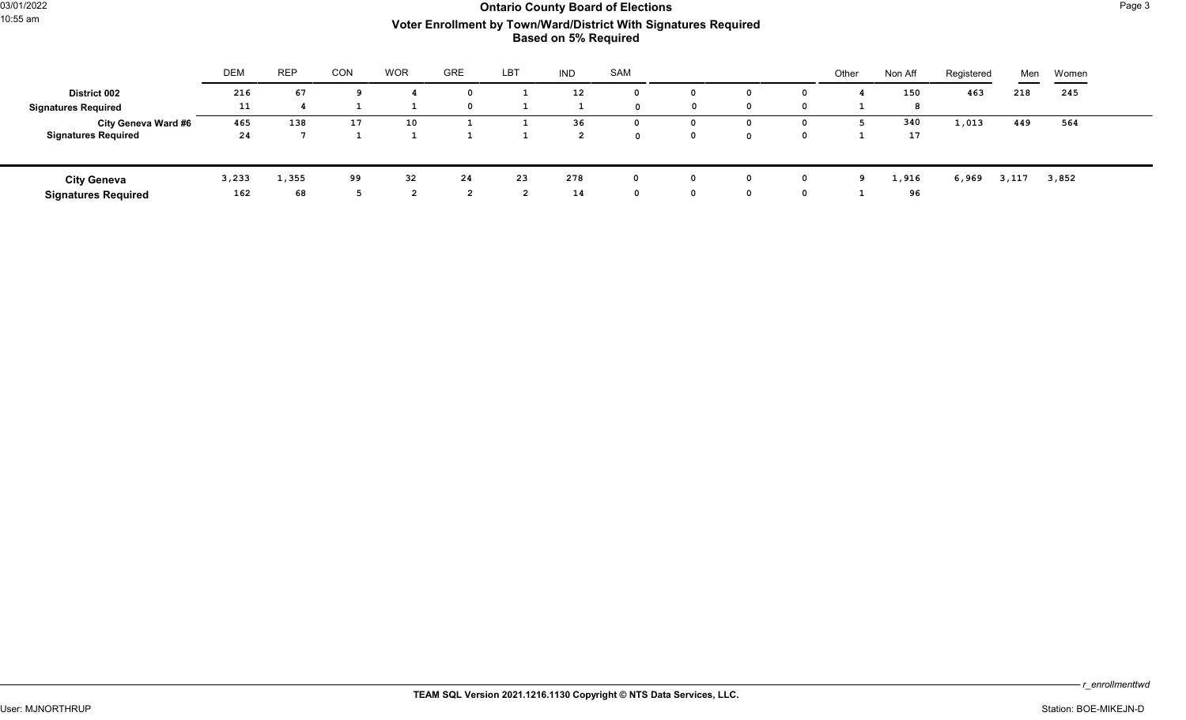# 03/01/2022 **Ontario County Board of Elections** Page 3 10:55 am **Voter Enrollment by Town/Ward/District With Signatures Required Based on 5% Required**

|                            | <b>DEM</b> | <b>REP</b> | <b>CON</b> | <b>WOR</b> | <b>GRE</b> | LBT | <b>IND</b>        | SAM |             |              | Other | Non Aff | Registered | Men   | Women |  |
|----------------------------|------------|------------|------------|------------|------------|-----|-------------------|-----|-------------|--------------|-------|---------|------------|-------|-------|--|
| <b>District 002</b>        | 216        | 67         |            |            |            |     | $12 \overline{ }$ |     |             | $\Omega$     |       | 150     | 463        | 218   | 245   |  |
| <b>Signatures Required</b> | 11         |            |            |            |            |     |                   |     | $\mathbf 0$ | $\Omega$     |       |         |            |       |       |  |
| City Geneva Ward #6        | 465        | 138        | 17         | 10         |            |     | 36                |     |             | $\Omega$     |       | 340     | 1,013      | 449   | 564   |  |
| <b>Signatures Required</b> | 24         |            |            |            |            |     |                   |     |             | <sup>0</sup> |       | 17      |            |       |       |  |
|                            |            |            |            |            |            |     |                   |     |             |              |       |         |            |       |       |  |
| <b>City Geneva</b>         | 3,233      | 1,355      | 99         | 32         | 24         | 23  | 278               |     |             | 0            | g     | 1,916   | 6,969      | 3,117 | 3,852 |  |
| <b>Signatures Required</b> | 162        | 68         |            |            |            |     | 14                |     |             | 0            |       | 96      |            |       |       |  |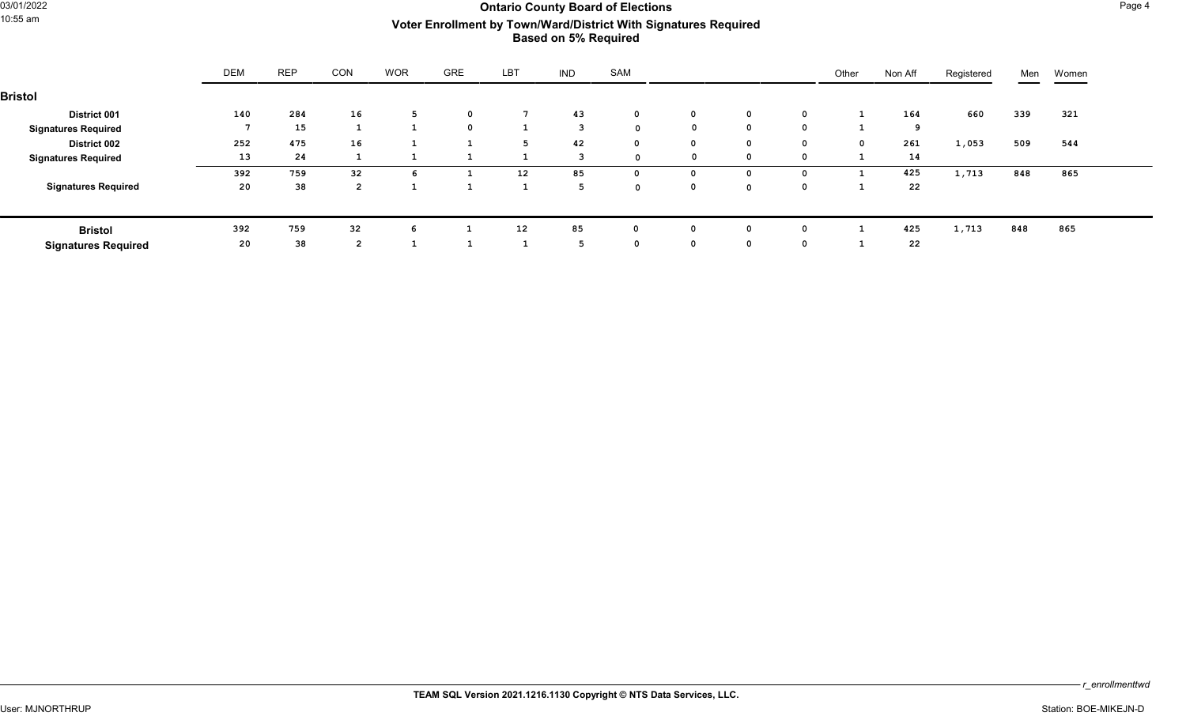## 03/01/2022 **Ontario County Board of Elections** Page 4 10:55 am **Voter Enrollment by Town/Ward/District With Signatures Required Based on 5% Required**

|                            | <b>DEM</b> | <b>REP</b> | CON            | <b>WOR</b> | <b>GRE</b>  | LBT               | <b>IND</b> | SAM         |             |             |          | Other       | Non Aff | Registered | Men | Women |
|----------------------------|------------|------------|----------------|------------|-------------|-------------------|------------|-------------|-------------|-------------|----------|-------------|---------|------------|-----|-------|
| <b>Bristol</b>             |            |            |                |            |             |                   |            |             |             |             |          |             |         |            |     |       |
| <b>District 001</b>        | 140        | 284        | 16             | -5         | $\mathbf 0$ |                   | 43         | $\mathbf 0$ | $\mathbf 0$ | $\mathbf 0$ | 0        |             | 164     | 660        | 339 | 321   |
| <b>Signatures Required</b> |            | 15         |                |            | $\mathbf 0$ |                   | 3          | $\Omega$    | $\mathbf 0$ | $\mathbf 0$ | $\Omega$ |             |         |            |     |       |
| <b>District 002</b>        | 252        | 475        | 16             |            |             |                   | 42         | $^{\circ}$  |             | $\mathbf 0$ | 0        | $\mathbf 0$ | 261     | 1,053      | 509 | 544   |
| <b>Signatures Required</b> | 13         | 24         |                |            |             |                   |            | $\sim$      | $\mathbf 0$ | $\mathbf 0$ | $\Omega$ |             | 14      |            |     |       |
|                            | 392        | 759        | 32             | -6         |             | $12 \overline{ }$ | 85         | 0           |             | 0           | 0        |             | 425     | 1,713      | 848 | 865   |
| <b>Signatures Required</b> | 20         | 38         | $\overline{2}$ |            |             |                   |            | $\sim$      | 0           | $\mathbf 0$ | 0        |             | 22      |            |     |       |
|                            |            |            |                |            |             |                   |            |             |             |             |          |             |         |            |     |       |
| <b>Bristol</b>             | 392        | 759        | 32             | 6          |             | 12                | 85         | 0           | $\mathbf 0$ | $\mathbf 0$ | 0        |             | 425     | 1,713      | 848 | 865   |
| <b>Signatures Required</b> | 20         | 38         | $\overline{2}$ |            |             |                   |            | 0           |             | $\mathbf 0$ | 0        |             | 22      |            |     |       |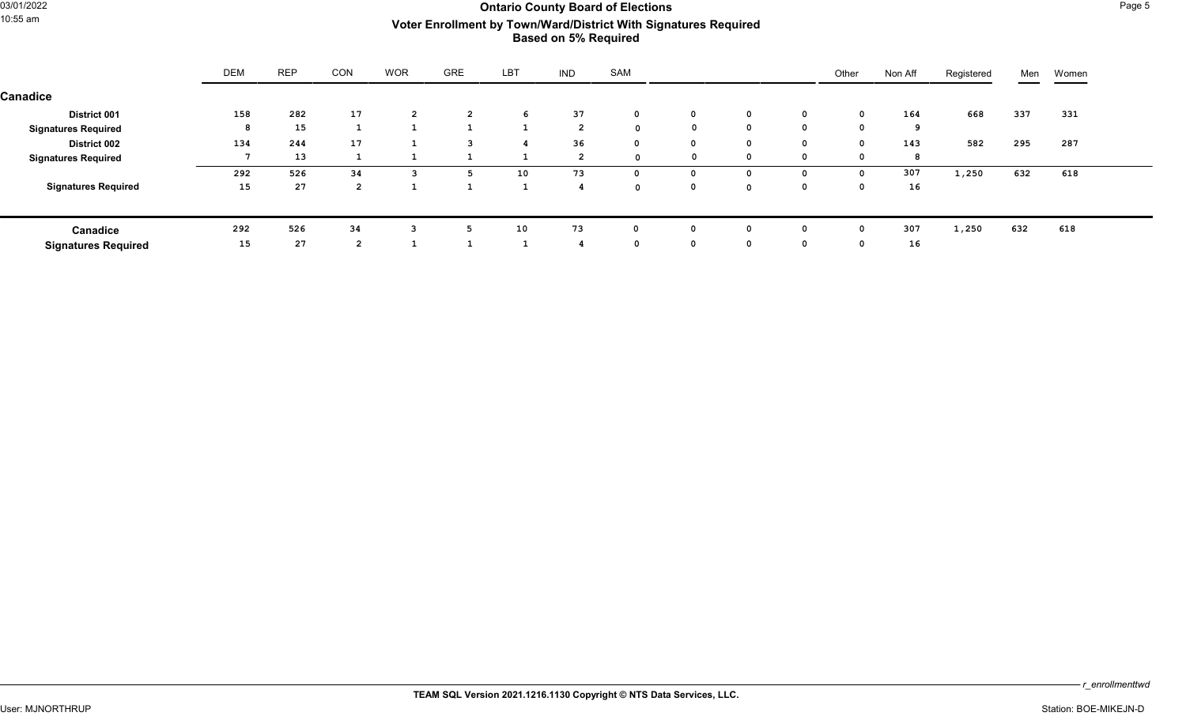## 03/01/2022 **CHECREAR COULD COUNTRELL COUNTRELL COUNTRELL COUNTRELL COUNTRELL COUNTRELL COUNTRELL COUNTRELL COUNTRELL COUNTRELL COUNTRELL COUNTRELL COUNTRELL COUNTRELL COUNTRELL COUNTRELL COUNTRELL COUNTRELL COUNTRELL COUNT** 10:55 am **Voter Enrollment by Town/Ward/District With Signatures Required Based on 5% Required**

|                            | <b>DEM</b> | <b>REP</b> | CON          | <b>WOR</b>     | <b>GRE</b>     | LBT | <b>IND</b>     | SAM          |              |             | Other    | Non Aff | Registered | Men | Women |
|----------------------------|------------|------------|--------------|----------------|----------------|-----|----------------|--------------|--------------|-------------|----------|---------|------------|-----|-------|
| Canadice                   |            |            |              |                |                |     |                |              |              |             |          |         |            |     |       |
| <b>District 001</b>        | 158        | 282        | 17           | $\overline{2}$ | $\overline{2}$ | 6   | 37             | $\mathbf 0$  | 0            | $\mathbf 0$ | 0        | 164     | 668        | 337 | 331   |
| <b>Signatures Required</b> | 8          | 15         |              |                |                |     | $\overline{2}$ | $\Omega$     | $\mathbf{0}$ | $^{\circ}$  | $\Omega$ | 9       |            |     |       |
| <b>District 002</b>        | 134        | 244        | 17           |                | 3              |     | 36             | $\mathbf{0}$ | 0            | $\mathbf 0$ | $\Omega$ | 143     | 582        | 295 | 287   |
| <b>Signatures Required</b> |            | 13         |              |                |                |     | $\overline{2}$ | $\Omega$     | 0            | $\mathbf 0$ | റ        | 8       |            |     |       |
|                            | 292        | 526        | 34           |                | 5.             | 10  | 73             | 0            | $\Omega$     | $\Omega$    | $\Omega$ | 307     | 1,250      | 632 | 618   |
| <b>Signatures Required</b> | 15         | 27         | $\mathbf{z}$ |                |                |     |                | $\Omega$     | 0            | $\Omega$    | $\Omega$ | 16      |            |     |       |
|                            |            |            |              |                |                |     |                |              |              |             |          |         |            |     |       |
| Canadice                   | 292        | 526        | 34           | 3              | פ              | 10  | 73             | 0            | 0            | 0           | $\Omega$ | 307     | 1,250      | 632 | 618   |
| <b>Signatures Required</b> | 15         | 27         |              |                |                |     |                | 0            | 0            | $\mathbf 0$ | $\Omega$ | 16      |            |     |       |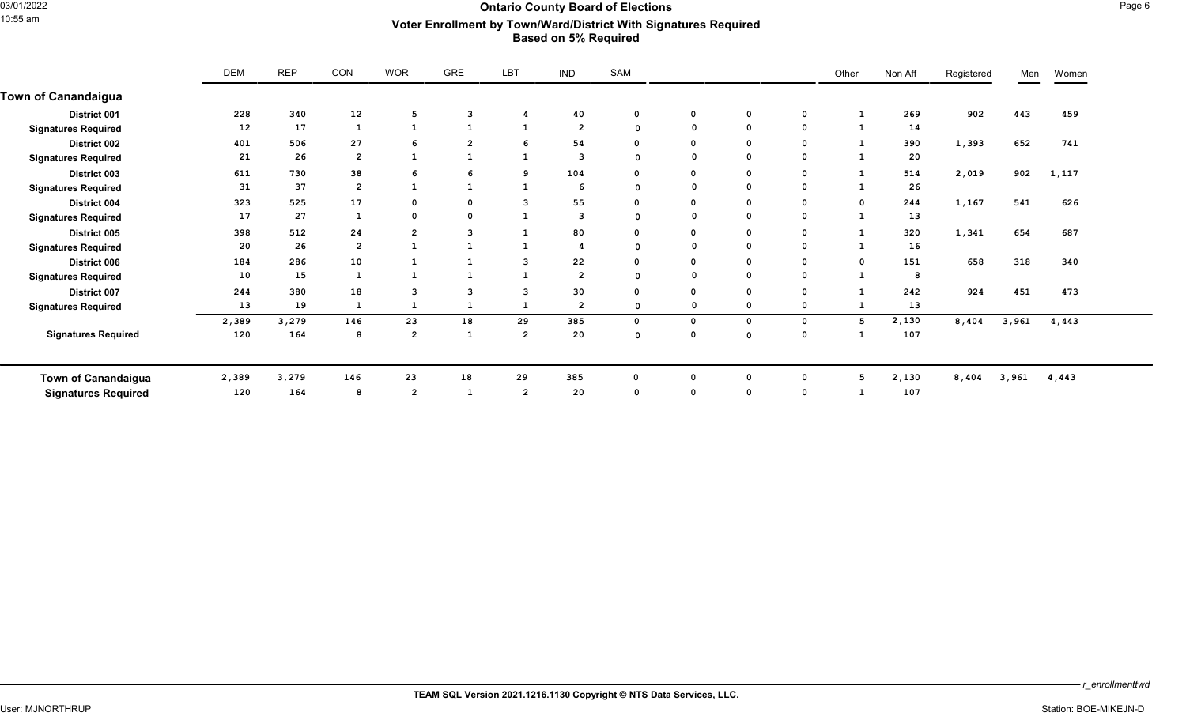## 03/01/2022 **Ontario County Board of Elections** Page 6 10:55 am **Voter Enrollment by Town/Ward/District With Signatures Required Based on 5% Required**

|                            | <b>DEM</b> | <b>REP</b> | CON            | <b>WOR</b>              | GRE            | LBT                     | <b>IND</b>     | SAM         |              |             |             | Other       | Non Aff | Registered | Men   | Women |
|----------------------------|------------|------------|----------------|-------------------------|----------------|-------------------------|----------------|-------------|--------------|-------------|-------------|-------------|---------|------------|-------|-------|
| <b>Town of Canandaigua</b> |            |            |                |                         |                |                         |                |             |              |             |             |             |         |            |       |       |
| District 001               | 228        | 340        | 12             | 5                       | 3              |                         | 40             | $\mathbf 0$ | $\mathbf{o}$ | $\mathbf 0$ | 0           |             | 269     | 902        | 443   | 459   |
| <b>Signatures Required</b> | 12         | 17         |                |                         |                |                         | $\overline{2}$ | $\mathbf 0$ |              | $\mathbf 0$ | 0           |             | 14      |            |       |       |
| District 002               | 401        | 506        | 27             | 6                       | $\overline{2}$ |                         | 54             |             | $\mathbf 0$  | $\mathbf 0$ | 0           |             | 390     | 1,393      | 652   | 741   |
| <b>Signatures Required</b> | 21         | 26         | $\overline{2}$ |                         |                |                         | 3              | $\Omega$    |              | $\mathbf 0$ | 0           |             | 20      |            |       |       |
| District 003               | 611        | 730        | 38             | 6                       | 6              | ٩                       | 104            | $\Omega$    | 0            | $\mathbf 0$ | 0           |             | 514     | 2,019      | 902   | 1,117 |
| <b>Signatures Required</b> | 31         | 37         | $\overline{2}$ | $\mathbf{1}$            | $\mathbf{1}$   | 1                       | -6             | $\Omega$    |              | $\mathbf 0$ | 0           |             | 26      |            |       |       |
| District 004               | 323        | 525        | 17             | $\mathbf 0$             | 0              | 3                       | 55             | 0           | 0            | $\mathbf 0$ | 0           | $\mathbf 0$ | 244     | 1,167      | 541   | 626   |
| <b>Signatures Required</b> | 17         | 27         |                | $\mathbf 0$             | $\Omega$       |                         | 3              | $\Omega$    |              | 0           | 0           |             | 13      |            |       |       |
| District 005               | 398        | 512        | 24             | $\overline{2}$          | 3              | 1                       | 80             | $\Omega$    | $\Omega$     | $\mathbf 0$ | 0           |             | 320     | 1,341      | 654   | 687   |
| <b>Signatures Required</b> | 20         | 26         | $\overline{2}$ |                         |                |                         | 4              |             |              | $\mathbf 0$ | 0           |             | 16      |            |       |       |
| District 006               | 184        | 286        | 10             |                         |                | з                       | 22             | $\mathbf 0$ | 0            | $\mathbf 0$ | 0           | $\mathbf 0$ | 151     | 658        | 318   | 340   |
| <b>Signatures Required</b> | 10         | 15         |                |                         |                |                         | $\overline{2}$ |             |              | $\mathbf 0$ | 0           |             | 8       |            |       |       |
| District 007               | 244        | 380        | 18             | 3                       | 3              | з                       | 30             | $\Omega$    | $\Omega$     | $\Omega$    | 0           |             | 242     | 924        | 451   | 473   |
| <b>Signatures Required</b> | 13         | 19         |                |                         | 1              |                         | $\overline{2}$ | $\Omega$    |              | 0           | 0           |             | 13      |            |       |       |
|                            | 2,389      | 3,279      | 146            | 23                      | 18             | 29                      | 385            | $\Omega$    | $\Omega$     | $\mathbf 0$ | $\mathbf 0$ | 5           | 2,130   | 8,404      | 3,961 | 4,443 |
| <b>Signatures Required</b> | 120        | 164        | 8              | $\overline{2}$          | 1              | $\overline{\mathbf{2}}$ | 20             | $\mathbf 0$ | $\Omega$     | 0           | 0           |             | 107     |            |       |       |
| <b>Town of Canandaigua</b> | 2,389      | 3,279      | 146            | 23                      | 18             | 29                      | 385            |             | $\Omega$     | $\Omega$    | 0           | 5           | 2,130   | 8,404      | 3,961 | 4,443 |
| <b>Signatures Required</b> | 120        | 164        | 8              | $\overline{\mathbf{2}}$ | -1             | $\overline{2}$          | 20             | $\Omega$    | $\Omega$     | $\Omega$    | $\mathbf 0$ |             | 107     |            |       |       |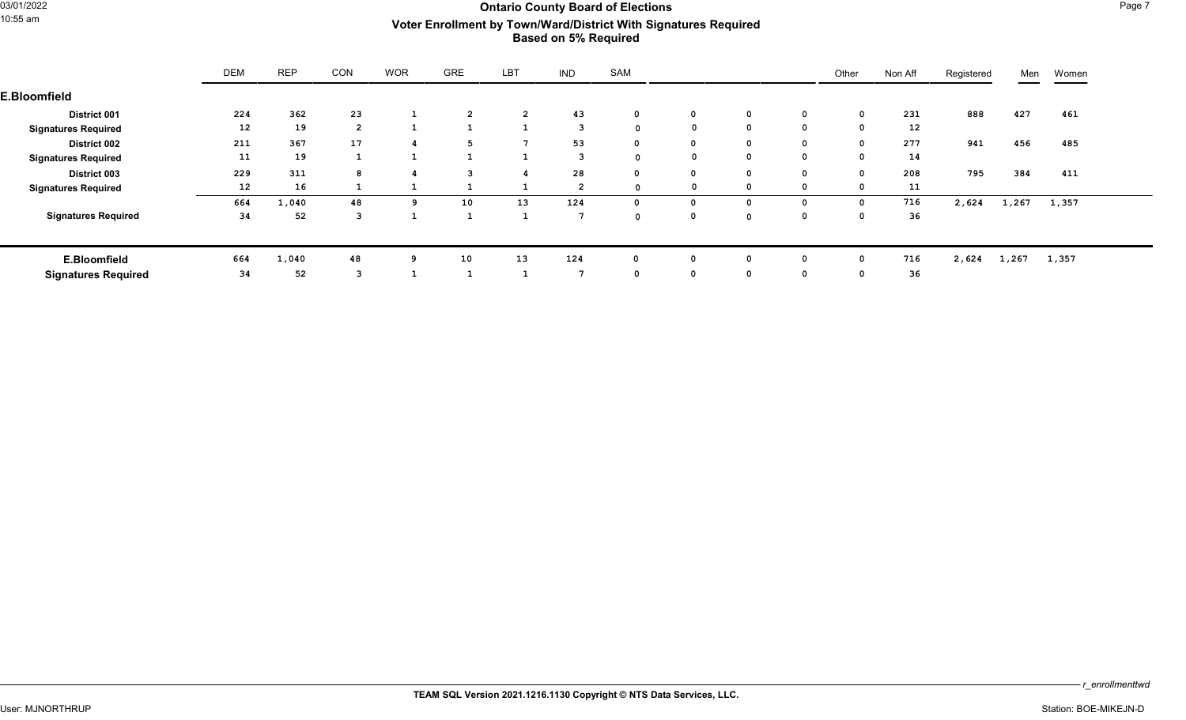## 03/01/2022 **Ontario County Board of Elections** Page 7 10:55 am **Voter Enrollment by Town/Ward/District With Signatures Required Based on 5% Required**

|                            | <b>DEM</b>        | <b>REP</b> | <b>CON</b>     | <b>WOR</b> | <b>GRE</b>   | LBT            | <b>IND</b>      | SAM          |              |             |             | Other        | Non Aff           | Registered | Men   | Women |
|----------------------------|-------------------|------------|----------------|------------|--------------|----------------|-----------------|--------------|--------------|-------------|-------------|--------------|-------------------|------------|-------|-------|
| <b>E.Bloomfield</b>        |                   |            |                |            |              |                |                 |              |              |             |             |              |                   |            |       |       |
| <b>District 001</b>        | 224               | 362        | 23             |            |              | $\overline{2}$ | 43              | $\mathbf 0$  | $\mathbf 0$  | $\mathbf 0$ | $\mathbf 0$ | $\mathbf{o}$ | 231               | 888        | 427   | 461   |
| <b>Signatures Required</b> | $12 \overline{ }$ | 19         | $\overline{2}$ |            | $\mathbf{1}$ |                | $\mathbf{3}$    | 0            |              | $\mathbf 0$ | 0           | 0            | $12 \overline{ }$ |            |       |       |
| <b>District 002</b>        | 211               | 367        | 17             |            |              | -7             | 53              | $\mathbf{0}$ | 0            | $\mathbf 0$ | $\mathbf 0$ | $\mathbf{o}$ | 277               | 941        | 456   | 485   |
| <b>Signatures Required</b> | 11                | 19         |                |            | 1            |                | $\mathbf{3}$    | 0            |              | $\mathbf 0$ | 0           | 0            | 14                |            |       |       |
| District 003               | 229               | 311        | 8              |            | 3            |                | 28              | $\Omega$     | $\mathbf 0$  | $\mathbf 0$ | $\mathbf 0$ | $\mathbf 0$  | 208               | 795        | 384   | 411   |
| <b>Signatures Required</b> | $12 \overline{ }$ | 16         |                |            |              |                | $\overline{2}$  | $\mathbf 0$  |              | $\mathbf 0$ | 0           | 0            | 11                |            |       |       |
|                            | 664               | 1,040      | 48             | 9          | 10           | 13             | 124             | $\Omega$     | $\Omega$     | $\mathbf 0$ | 0           | $\mathbf 0$  | 716               | 2,624      | 1,267 | 1,357 |
| <b>Signatures Required</b> | 34                | 52         | 3              |            |              |                | 7               | $\mathbf 0$  | $\mathbf 0$  | $\mathbf 0$ | 0           | 0            | 36                |            |       |       |
| E.Bloomfield               | 664               | 1,040      | 48             | 9          | 10           | 13             | 124             | 0            | 0            | 0           | 0           | $^{\circ}$   | 716               | 2,624      | 1,267 | 1,357 |
| <b>Signatures Required</b> | 34                | 52         | 3              |            |              |                | $7\phantom{.0}$ | $\Omega$     | $\mathbf{o}$ | $\mathbf 0$ | 0           | $\Omega$     | 36                |            |       |       |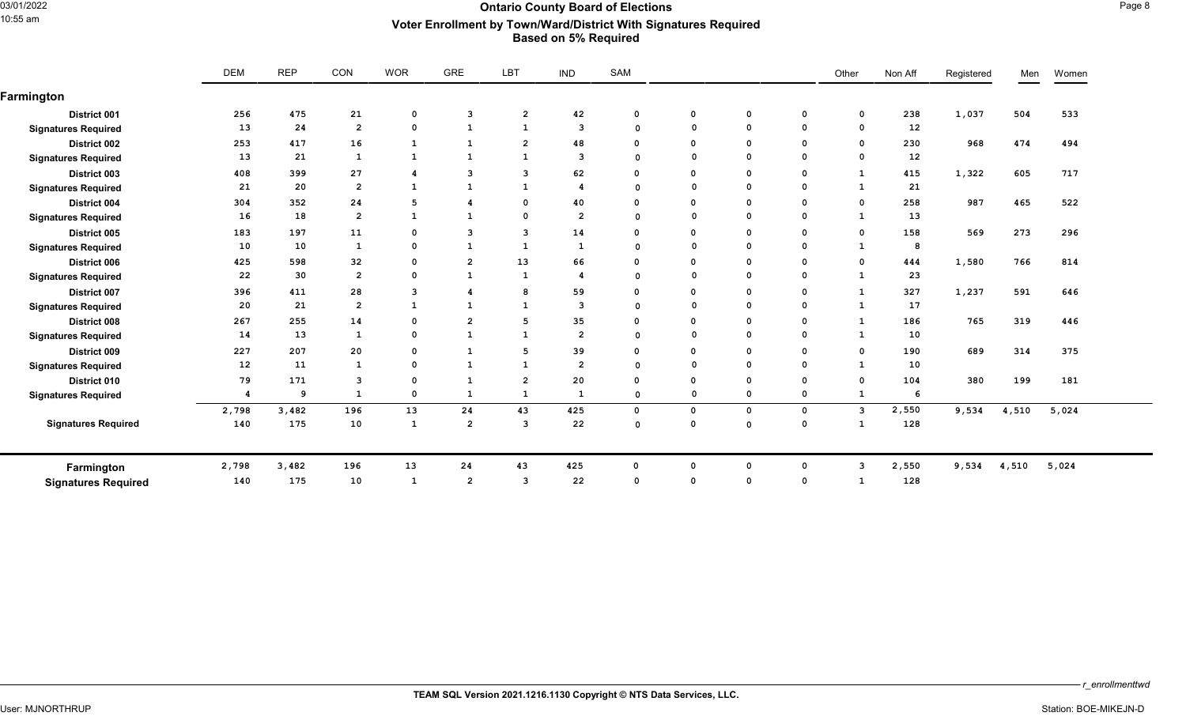### 03/01/2022 **Ontario County Board of Elections** Page 8 10:55 am **Voter Enrollment by Town/Ward/District With Signatures Required Based on 5% Required**

|                            | <b>DEM</b> | <b>REP</b> | CON            | <b>WOR</b>              | GRE            | LBT            | <b>IND</b>     | SAM         |              |              |             | Other          | Non Aff           | Registered | Men   | Women |
|----------------------------|------------|------------|----------------|-------------------------|----------------|----------------|----------------|-------------|--------------|--------------|-------------|----------------|-------------------|------------|-------|-------|
| Farmington                 |            |            |                |                         |                |                |                |             |              |              |             |                |                   |            |       |       |
| <b>District 001</b>        | 256        | 475        | 21             | $\mathbf{o}$            | 3              | $\overline{2}$ | 42             | $\mathbf 0$ | $\mathbf 0$  | $\mathbf 0$  | $\mathbf 0$ | $\mathbf 0$    | 238               | 1,037      | 504   | 533   |
| <b>Signatures Required</b> | 13         | 24         | $\overline{2}$ | $\Omega$                | $\mathbf{1}$   | 1              | 3              | $\Omega$    | $\Omega$     | $\mathbf 0$  | $\mathbf 0$ | $\mathbf 0$    | $12 \overline{ }$ |            |       |       |
| <b>District 002</b>        | 253        | 417        | 16             | 1                       | $\mathbf{1}$   | $\overline{2}$ | 48             | $\Omega$    | $\mathbf 0$  | $\mathbf 0$  | $\mathbf 0$ | $\mathbf{o}$   | 230               | 968        | 474   | 494   |
| <b>Signatures Required</b> | 13         | 21         | 1              | <sup>1</sup>            | <b>1</b>       | 1              | 3              | $\Omega$    | $\Omega$     | $\mathbf 0$  | 0           | $\mathbf 0$    | $12 \overline{ }$ |            |       |       |
| District 003               | 408        | 399        | 27             | -4                      | 3              | 3              | 62             | $\Omega$    | 0            | $\mathbf 0$  | 0           | $\mathbf{1}$   | 415               | 1,322      | 605   | 717   |
| <b>Signatures Required</b> | 21         | 20         | $\overline{2}$ | $\mathbf{1}$            | $\mathbf{1}$   | 1              | 4              | $\Omega$    |              | $\Omega$     | $\mathbf 0$ | $\mathbf{1}$   | 21                |            |       |       |
| District 004               | 304        | 352        | 24             | 5                       | 4              | $\mathbf 0$    | 40             | $\Omega$    | $\mathbf 0$  | $\mathbf 0$  | $\mathbf 0$ | $\mathbf{o}$   | 258               | 987        | 465   | 522   |
| <b>Signatures Required</b> | 16         | 18         | $\overline{2}$ | $\mathbf{1}$            | $\mathbf{1}$   | 0              | $\overline{2}$ | $\Omega$    | $\Omega$     | $\mathbf{o}$ | $\Omega$    | $\mathbf{1}$   | 13                |            |       |       |
| District 005               | 183        | 197        | 11             | $\mathbf 0$             | 3              | 3              | 14             | $\Omega$    | $\Omega$     | $\mathbf 0$  | $\mathbf 0$ | $\Omega$       | 158               | 569        | 273   | 296   |
| <b>Signatures Required</b> | 10         | 10         | $\mathbf{1}$   | $\mathbf 0$             | $\mathbf{1}$   | $\mathbf{1}$   | $\mathbf{1}$   | $\Omega$    | $\Omega$     | $\mathbf 0$  | $\mathbf 0$ | $\mathbf{1}$   | 8                 |            |       |       |
| <b>District 006</b>        | 425        | 598        | 32             | $\mathbf 0$             | $\overline{2}$ | 13             | 66             | $\Omega$    | $\mathbf{o}$ | $\mathbf 0$  | $\mathbf 0$ | $\mathbf 0$    | 444               | 1,580      | 766   | 814   |
| <b>Signatures Required</b> | 22         | 30         | $\overline{2}$ | $\mathbf 0$             | <b>1</b>       | -1             | 4              | $\Omega$    | $\Omega$     | $\mathbf{o}$ | $\mathbf 0$ | 1              | 23                |            |       |       |
| District 007               | 396        | 411        | 28             | $\overline{\mathbf{3}}$ | 4              | 8              | 59             | $\Omega$    | 0            | $\mathbf{o}$ | 0           | $\mathbf{1}$   | 327               | 1,237      | 591   | 646   |
| <b>Signatures Required</b> | 20         | 21         | $\overline{2}$ | <sup>1</sup>            | $\mathbf{1}$   | 1              | 3              | $\Omega$    |              | $\mathbf{o}$ | 0           | $\mathbf{1}$   | 17                |            |       |       |
| District 008               | 267        | 255        | 14             | $\mathbf 0$             | $\overline{2}$ | 5              | 35             | $\Omega$    | 0            | $\mathbf{o}$ | 0           | 1              | 186               | 765        | 319   | 446   |
| <b>Signatures Required</b> | 14         | 13         | $\mathbf{1}$   | $\Omega$                | $\mathbf{1}$   | $\mathbf{1}$   | $\overline{2}$ | $\Omega$    | $\Omega$     | $^{\circ}$   | $\Omega$    | $\mathbf{1}$   | 10                |            |       |       |
| District 009               | 227        | 207        | 20             | $\mathbf 0$             | $\mathbf{1}$   | 5              | 39             | $\Omega$    | 0            | $\mathbf 0$  | 0           | $\Omega$       | 190               | 689        | 314   | 375   |
| <b>Signatures Required</b> | 12         | 11         | 1              | $\mathbf 0$             | $\mathbf{1}$   | $\mathbf{1}$   | $\overline{2}$ | $\Omega$    | $\Omega$     | $\mathbf 0$  | $\mathbf 0$ | <sup>1</sup>   | 10                |            |       |       |
| District 010               | 79         | 171        | 3              | $\mathbf 0$             | $\mathbf{1}$   | $\overline{2}$ | 20             | $\Omega$    | $\mathbf 0$  | $\mathbf 0$  | 0           | $\Omega$       | 104               | 380        | 199   | 181   |
| <b>Signatures Required</b> | 4          | 9          | 1              | $\mathbf 0$             | $\mathbf{1}$   | 1              | -1             | $\mathbf 0$ | 0            | $\mathbf 0$  | 0           | $\mathbf{1}$   | -6                |            |       |       |
|                            | 2,798      | 3,482      | 196            | 13                      | 24             | 43             | 425            | $\mathbf 0$ | $\mathbf 0$  | $\mathbf{o}$ | $\mathbf 0$ | $\overline{3}$ | 2,550             | 9,534      | 4,510 | 5,024 |
| <b>Signatures Required</b> | 140        | 175        | 10             | 1                       | $\overline{2}$ | $\overline{3}$ | 22             | $\Omega$    | $\Omega$     | $\mathbf 0$  | 0           | $\mathbf{1}$   | 128               |            |       |       |
| Farmington                 | 2,798      | 3,482      | 196            | 13                      | 24             | 43             | 425            | $\Omega$    | $\Omega$     | $^{\circ}$   | $\Omega$    | 3              | 2,550             | 9,534      | 4,510 | 5,024 |
| <b>Signatures Required</b> | 140        | 175        | 10             | <sup>1</sup>            | $\overline{2}$ | 3              | 22             | $\Omega$    | $\Omega$     | $\Omega$     | 0           | -1             | 128               |            |       |       |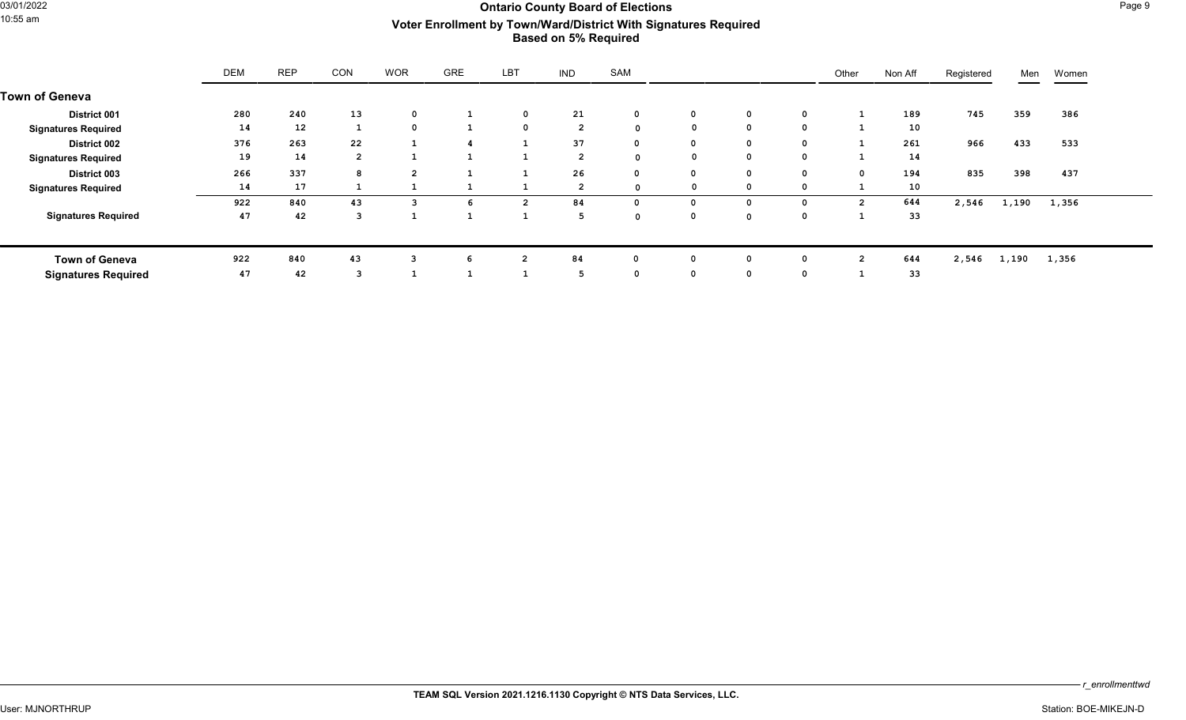## 03/01/2022 **Ontario County Board of Elections** Page 9 10:55 am **Voter Enrollment by Town/Ward/District With Signatures Required Based on 5% Required**

|                            | <b>DEM</b> | <b>REP</b> | CON            | <b>WOR</b>     | <b>GRE</b> | LBT            | <b>IND</b>     | SAM          |              |              |             | Other          | Non Aff | Registered | Men   | Women |
|----------------------------|------------|------------|----------------|----------------|------------|----------------|----------------|--------------|--------------|--------------|-------------|----------------|---------|------------|-------|-------|
| <b>Town of Geneva</b>      |            |            |                |                |            |                |                |              |              |              |             |                |         |            |       |       |
| <b>District 001</b>        | 280        | 240        | 13             | $\mathbf{0}$   |            | $\mathbf 0$    | 21             | 0            | $\mathbf 0$  | $\mathbf 0$  | 0           |                | 189     | 745        | 359   | 386   |
| <b>Signatures Required</b> | 14         | 12         |                | $\mathbf 0$    |            | $^{\circ}$     | $\overline{2}$ | $\mathbf 0$  |              | $\mathbf 0$  | 0           |                | 10      |            |       |       |
| <b>District 002</b>        | 376        | 263        | 22             |                |            |                | 37             | $\mathbf{0}$ | 0            | $\mathbf 0$  | $\mathbf 0$ |                | 261     | 966        | 433   | 533   |
| <b>Signatures Required</b> | 19         | 14         | $\overline{2}$ |                |            |                | $\overline{2}$ | 0            |              | $\mathbf 0$  | 0           |                | 14      |            |       |       |
| <b>District 003</b>        | 266        | 337        | 8              | $\overline{2}$ |            |                | 26             | $\mathbf 0$  | 0            | $\mathbf{o}$ | $\mathbf 0$ | $\mathbf{o}$   | 194     | 835        | 398   | 437   |
| <b>Signatures Required</b> | 14         | 17         |                |                |            |                | $\overline{2}$ | $\mathbf 0$  |              | 0            | 0           |                | 10      |            |       |       |
|                            | 922        | 840        | 43             | 3              | 6          | $\overline{2}$ | 84             | 0            | $\Omega$     | 0            | $\mathbf 0$ | $\overline{2}$ | 644     | 2,546      | 1,190 | 1,356 |
| <b>Signatures Required</b> | 47         | 42         | 3              |                |            |                | 5              | $\mathbf 0$  | $\mathbf 0$  | $\mathbf 0$  | 0           |                | 33      |            |       |       |
| <b>Town of Geneva</b>      | 922        | 840        | 43             | 3              | 6          | $\overline{2}$ | 84             | $^{\circ}$   | $\Omega$     | 0            | 0           | $\overline{2}$ | 644     | 2,546      | 1,190 | 1,356 |
| <b>Signatures Required</b> | 47         | 42         | 3              |                |            |                | 5              | 0            | $\mathbf{o}$ | $\mathbf 0$  | 0           |                | 33      |            |       |       |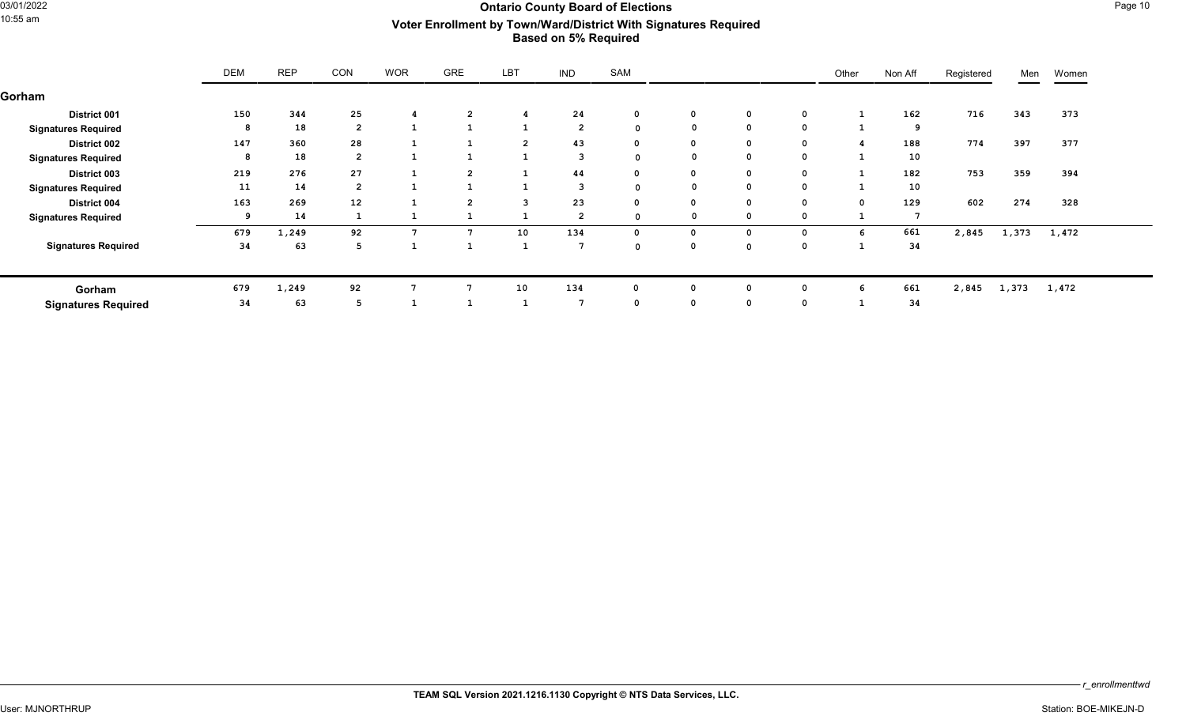## Ontario County Board of Elections<br>10:55 am **Mark Page 10**<br>10:55 am **Mark Provides Accounty Board Old Little Signatures Boquired** 10:55 am **Voter Enrollment by Town/Ward/District With Signatures Required Based on 5% Required**

|                            | <b>DEM</b> | <b>REP</b> | CON            | <b>WOR</b> | GRE            | LBT            | <b>IND</b>     | SAM         |              |              |          | Other       | Non Aff  | Registered | Men   | Women |
|----------------------------|------------|------------|----------------|------------|----------------|----------------|----------------|-------------|--------------|--------------|----------|-------------|----------|------------|-------|-------|
| Gorham                     |            |            |                |            |                |                |                |             |              |              |          |             |          |            |       |       |
| <b>District 001</b>        | 150        | 344        | 25             | 4          | $\overline{2}$ |                | 24             | 0           | $\mathbf{o}$ | $\mathbf 0$  | 0        |             | 162      | 716        | 343   | 373   |
| <b>Signatures Required</b> | 8          | 18         | $\overline{2}$ |            | 1              |                | $\overline{2}$ | $\Omega$    | $\mathbf 0$  | $\mathbf 0$  | 0        |             | <b>q</b> |            |       |       |
| <b>District 002</b>        | 147        | 360        | 28             |            | ÷              | $\overline{2}$ | 43             | 0           | $\mathbf{o}$ | $\mathbf{0}$ | 0        |             | 188      | 774        | 397   | 377   |
| <b>Signatures Required</b> | 8          | 18         | $\overline{2}$ |            | л.             |                | 3              | $\Omega$    | $\mathbf 0$  | $\mathbf{o}$ | 0        |             | 10       |            |       |       |
| <b>District 003</b>        | 219        | 276        | 27             |            | $\mathbf{2}$   |                | 44             | 0           | $\mathbf{o}$ | $\mathbf 0$  | 0        |             | 182      | 753        | 359   | 394   |
| <b>Signatures Required</b> | 11         | 14         | $\overline{2}$ |            |                |                | 3              | $\Omega$    | 0            | $\mathbf 0$  | 0        |             | 10       |            |       |       |
| <b>District 004</b>        | 163        | 269        | 12             |            | $\overline{2}$ |                | 23             | $\mathbf 0$ | $\mathbf{o}$ | $\mathbf 0$  | 0        | $\mathbf 0$ | 129      | 602        | 274   | 328   |
| <b>Signatures Required</b> |            | 14         |                |            |                |                | $\overline{2}$ |             | 0            | 0            |          |             |          |            |       |       |
|                            | 679        | 1,249      | 92             |            | $\overline{7}$ | 10             | 134            | 0           | $\mathbf{o}$ | 0            | $\Omega$ | 6           | 661      | 2,845      | 1,373 | 1,472 |
| <b>Signatures Required</b> | 34         | 63         | 5              |            |                |                | -7             | $\Omega$    | $\mathbf{o}$ | $\mathbf 0$  | 0        |             | 34       |            |       |       |
| Gorham                     | 679        | 1,249      | 92             |            |                | 10             | 134            |             | $\Omega$     | 0            |          | h           | 661      | 2,845      | 1,373 | 1,472 |
| <b>Signatures Required</b> | 34         | 63         | 5              |            |                |                | -7             | 0           | $\mathbf{o}$ | $\mathbf{o}$ | 0        |             | 34       |            |       |       |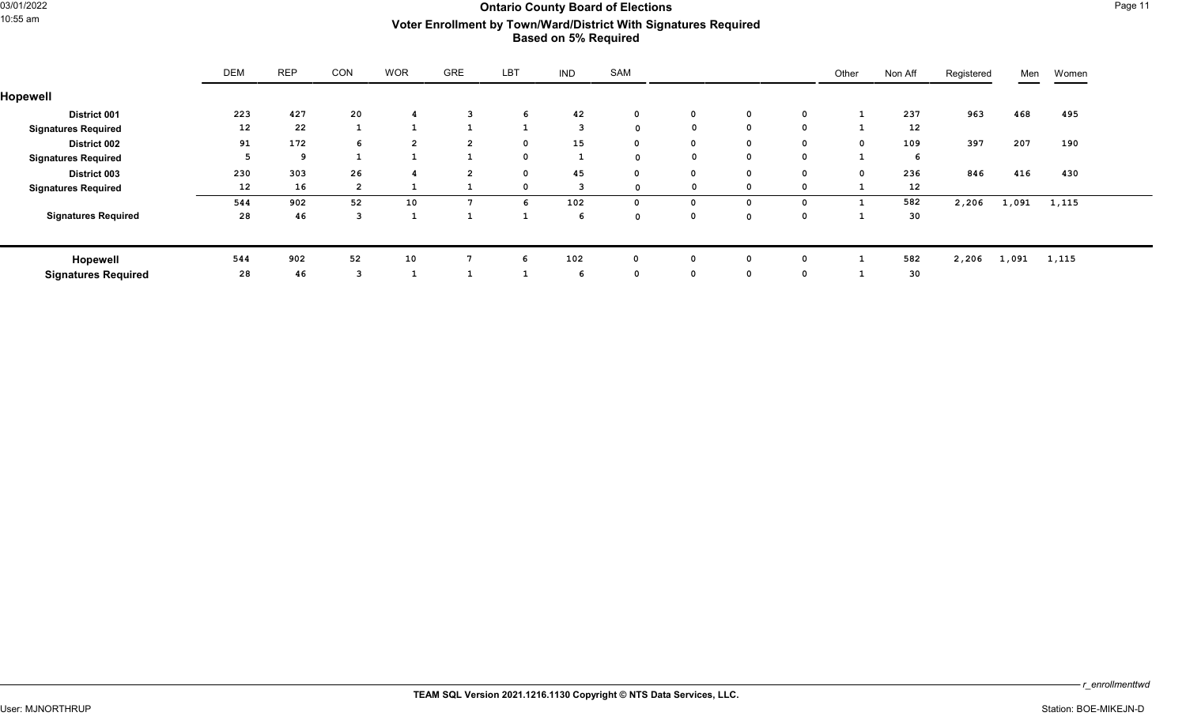## Ontario County Board of Elections<br>10:55 am **San Allian Street Board of School Actor Encollment by Town (March District With Signatures Boquired** 10:55 am **Voter Enrollment by Town/Ward/District With Signatures Required Based on 5% Required**

|                            | DEM               | <b>REP</b> | <b>CON</b>     | <b>WOR</b>     | <b>GRE</b>     | LBT          | <b>IND</b>                                                                                  | SAM          |              |              |             | Other        | Non Aff           | Registered | Men   | Women |
|----------------------------|-------------------|------------|----------------|----------------|----------------|--------------|---------------------------------------------------------------------------------------------|--------------|--------------|--------------|-------------|--------------|-------------------|------------|-------|-------|
| Hopewell                   |                   |            |                |                |                |              |                                                                                             |              |              |              |             |              |                   |            |       |       |
| <b>District 001</b>        | 223               | 427        | 20             |                |                | 6            | 42                                                                                          | $\mathbf 0$  | $\mathbf 0$  | $\mathbf 0$  | $\mathbf 0$ |              | 237               | 963        | 468   | 495   |
| <b>Signatures Required</b> | $12 \overline{ }$ | 22         |                |                | 1              | $\mathbf{1}$ | 3                                                                                           | $\mathbf 0$  |              | $\mathbf{o}$ | $\mathbf 0$ |              | 12                |            |       |       |
| <b>District 002</b>        | 91                | 172        | 6              | $\overline{2}$ | $\overline{2}$ | $\mathbf 0$  | 15                                                                                          | $\mathbf{0}$ | $\mathbf 0$  | $\mathbf{o}$ | $\mathbf 0$ | $\mathbf{o}$ | 109               | 397        | 207   | 190   |
| <b>Signatures Required</b> |                   | 9          |                |                | $\mathbf{1}$   | $\mathbf 0$  | - 11<br>$\mathbf{\mathbf{\mathbf{\mathbf{\mathbf{\mathbf{\mathbf{\mathbf{\mathbf{I}}}}}}}}$ | 0            |              | $\mathbf 0$  | $\mathbf 0$ |              | 6                 |            |       |       |
| District 003               | 230               | 303        | 26             |                | $\overline{2}$ | $^{\circ}$   | 45                                                                                          | $\mathbf 0$  | $\mathbf 0$  | $\mathbf 0$  | $\mathbf 0$ | $\mathbf{o}$ | 236               | 846        | 416   | 430   |
| <b>Signatures Required</b> | 12                | 16         | $\overline{2}$ |                |                |              | 3                                                                                           | 0            |              | $\mathbf 0$  | 0           |              | $12 \overline{ }$ |            |       |       |
|                            | 544               | 902        | 52             | 10             | 7              | 'n           | 102                                                                                         | 0            | <sup>0</sup> | $\mathbf 0$  | 0           |              | 582               | 2,206      | 1,091 | 1,115 |
| <b>Signatures Required</b> | 28                | 46         | 3              |                |                |              | 6                                                                                           | $\Omega$     | $\mathbf 0$  | $\mathbf 0$  | 0           |              | 30                |            |       |       |
|                            |                   |            |                |                |                |              |                                                                                             |              |              |              |             |              |                   |            |       |       |
| Hopewell                   | 544               | 902        | 52             | 10             | 7              | 6            | 102                                                                                         | $\mathbf{0}$ | $\Omega$     | 0            | 0           |              | 582               | 2,206      | 1,091 | 1,115 |
| <b>Signatures Required</b> | 28                | 46         | 3              |                |                |              | -6                                                                                          | $\mathbf 0$  | $\mathbf 0$  | $\mathbf 0$  | 0           |              | 30                |            |       |       |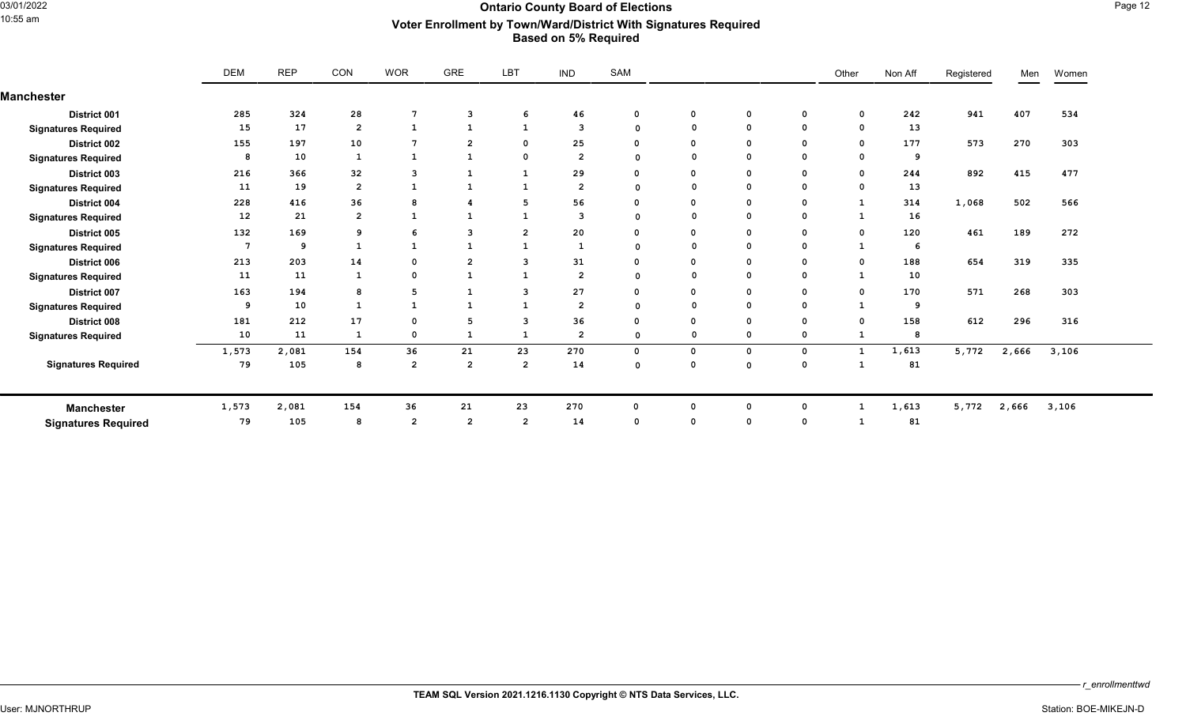### ontario County Board of Elections **County Board of Elections** Page 12<br>10:55 am **Mark Mark Mark Mark Descriptions** Page 12 **Mark Signature Boguired** 10:55 am **Voter Enrollment by Town/Ward/District With Signatures Required Based on 5% Required**

|                            | <b>DEM</b> | <b>REP</b> | CON            | <b>WOR</b>      | GRE                     | LBT            | <b>IND</b>              | SAM         |             |              |             | Other        | Non Aff | Registered | Men   | Women |
|----------------------------|------------|------------|----------------|-----------------|-------------------------|----------------|-------------------------|-------------|-------------|--------------|-------------|--------------|---------|------------|-------|-------|
| <b>Manchester</b>          |            |            |                |                 |                         |                |                         |             |             |              |             |              |         |            |       |       |
| District 001               | 285        | 324        | 28             | $7\phantom{.0}$ | $\overline{\mathbf{3}}$ | 6              | 46                      |             | 0           | $\mathbf 0$  | $\mathbf 0$ | $\mathbf 0$  | 242     | 941        | 407   | 534   |
| <b>Signatures Required</b> | 15         | 17         | $\overline{2}$ | $\mathbf{1}$    | <sup>1</sup>            | $\mathbf{1}$   | $\overline{\mathbf{3}}$ | $\mathbf 0$ | $\mathbf 0$ | $\mathbf 0$  | $^{\circ}$  | $\mathbf 0$  | 13      |            |       |       |
| District 002               | 155        | 197        | 10             | 7               | $\overline{2}$          | 0              | 25                      |             | $\Omega$    | 0            | 0           | 0            | 177     | 573        | 270   | 303   |
| <b>Signatures Required</b> | 8          | 10         | 1              | $\mathbf{1}$    | $\mathbf{1}$            | $\Omega$       | $\overline{2}$          | $\Omega$    | $\Omega$    | $\Omega$     | $\Omega$    | $\Omega$     | -9      |            |       |       |
| District 003               | 216        | 366        | 32             | 3               | 1                       | -1             | 29                      |             | $\Omega$    | $\mathbf 0$  | 0           | $\Omega$     | 244     | 892        | 415   | 477   |
| <b>Signatures Required</b> | 11         | 19         | $\overline{2}$ | $\mathbf{1}$    | 1                       | $\mathbf{1}$   | $\overline{2}$          | $\Omega$    | $\Omega$    | $\Omega$     | $^{\circ}$  | 0            | 13      |            |       |       |
| District 004               | 228        | 416        | 36             | 8               | 4                       | 5              | 56                      |             | $\Omega$    | $\mathbf 0$  | 0           |              | 314     | 1,068      | 502   | 566   |
| <b>Signatures Required</b> | 12         | 21         | $\overline{2}$ | $\mathbf{1}$    | 1                       | -1             | 3                       | 0           | $\Omega$    | $\mathbf{o}$ | 0           |              | 16      |            |       |       |
| District 005               | 132        | 169        | 9              | 6               | 3                       | $\overline{2}$ | 20                      |             | $\Omega$    | 0            | 0           | $\Omega$     | 120     | 461        | 189   | 272   |
| <b>Signatures Required</b> | 7          | -9         |                | 1               | $\mathbf{1}$            | 1              | 1                       | 0           | $\mathbf 0$ | $\Omega$     | 0           |              | 6       |            |       |       |
| District 006               | 213        | 203        | 14             | $\mathbf 0$     | $\overline{2}$          | 3              | 31                      |             | $\mathbf 0$ | $\mathbf 0$  | 0           | $\Omega$     | 188     | 654        | 319   | 335   |
| <b>Signatures Required</b> | 11         | 11         | 1              | $\mathbf 0$     | 1                       | $\mathbf{1}$   | $\overline{2}$          | $\Omega$    | $\Omega$    | $\Omega$     | 0           |              | 10      |            |       |       |
| <b>District 007</b>        | 163        | 194        | 8              | 5               | 1                       | 3              | 27                      |             | $\Omega$    | $\mathbf 0$  | 0           | $\mathbf 0$  | 170     | 571        | 268   | 303   |
| <b>Signatures Required</b> |            | 10         |                | -1              | $\mathbf{1}$            | -1             | $\overline{2}$          | $\Omega$    | $\mathbf 0$ | $\mathbf 0$  | 0           |              | -9      |            |       |       |
| District 008               | 181        | 212        | 17             | $\mathbf 0$     | 5                       | 3              | 36                      |             | $\mathbf 0$ | $\mathbf 0$  | 0           | $\Omega$     | 158     | 612        | 296   | 316   |
| <b>Signatures Required</b> | 10         | 11         | 1              | $\mathbf 0$     | 1                       | $\mathbf{1}$   | $\overline{2}$          | 0           | $\Omega$    | 0            | 0           |              |         |            |       |       |
|                            | 1,573      | 2,081      | 154            | 36              | 21                      | 23             | 270                     | 0           | $\mathbf 0$ | $\mathsf{o}$ | 0           | $\mathbf{1}$ | 1,613   | 5,772      | 2,666 | 3,106 |
| <b>Signatures Required</b> | 79         | 105        | 8              | $\overline{2}$  | $\overline{2}$          | $\overline{2}$ | 14                      | $\Omega$    | $\Omega$    | $\mathbf 0$  | $\mathbf 0$ |              | 81      |            |       |       |
| <b>Manchester</b>          | 1,573      | 2,081      | 154            | 36              | 21                      | 23             | 270                     | 0           | $^{\circ}$  | $\mathbf 0$  | 0           |              | 1,613   | 5,772      | 2,666 | 3,106 |
| <b>Signatures Required</b> | 79         | 105        | 8              | $\overline{2}$  | $\overline{2}$          | $\overline{2}$ | 14                      |             | $\Omega$    | $\Omega$     | $^{\circ}$  |              | 81      |            |       |       |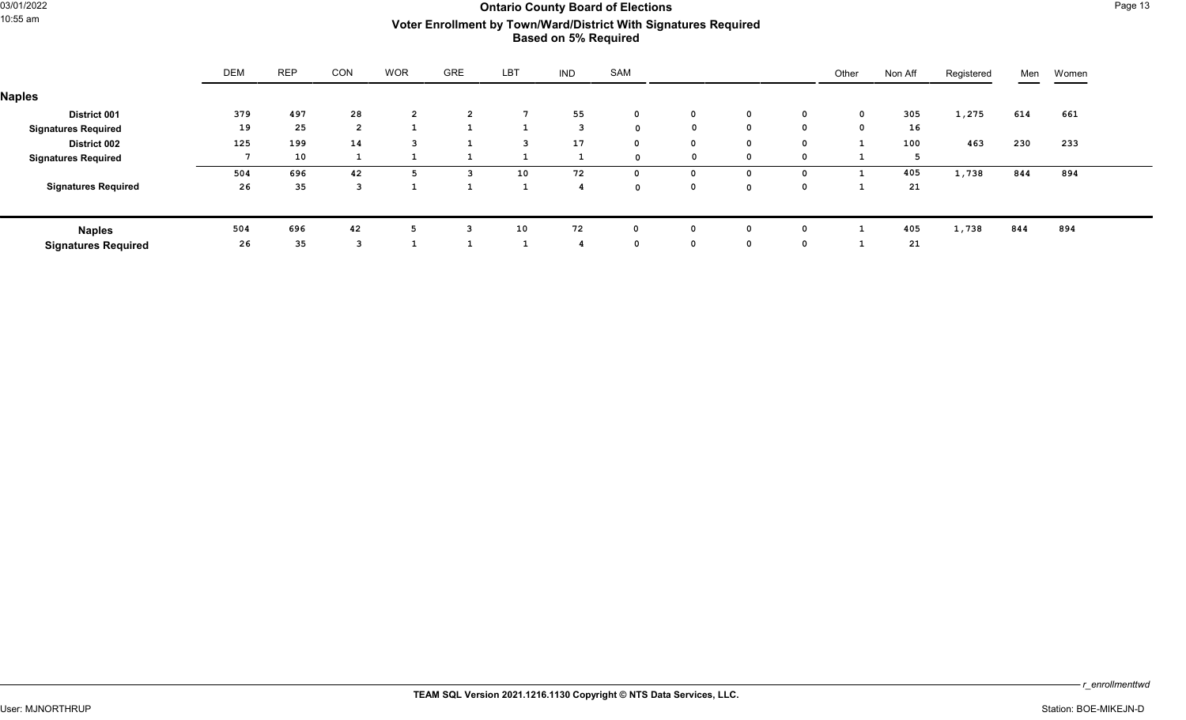## Ontario County Board of Elections<br>10:55 am **Mark Page 13**<br>10:55 am **Mark Providence Accounty Actor Encollment by Town (March District With Signatures Boquired** 10:55 am **Voter Enrollment by Town/Ward/District With Signatures Required Based on 5% Required**

|                            | <b>DEM</b> | <b>REP</b> | CON            | <b>WOR</b>     | <b>GRE</b>     | <b>LBT</b> | <b>IND</b> | SAM         |              |              |          | Other | Non Aff | Registered | Men | Women |
|----------------------------|------------|------------|----------------|----------------|----------------|------------|------------|-------------|--------------|--------------|----------|-------|---------|------------|-----|-------|
| <b>Naples</b>              |            |            |                |                |                |            |            |             |              |              |          |       |         |            |     |       |
| <b>District 001</b>        | 379        | 497        | 28             | $\overline{2}$ | $\overline{2}$ |            | 55         | $\mathbf 0$ | $\mathbf{0}$ | $\mathbf 0$  | 0        | 0     | 305     | 1,275      | 614 | 661   |
| <b>Signatures Required</b> | 19         | 25         | $\overline{2}$ |                |                |            | n,         | $\sim$      | 0            | $^{\circ}$   | $\Omega$ |       | 16      |            |     |       |
| <b>District 002</b>        | 125        | 199        | 14             | 3              |                | 3          | 17         | $\Omega$    | $\mathbf 0$  | $\mathbf 0$  | 0        |       | 100     | 463        | 230 | 233   |
| <b>Signatures Required</b> |            | 10         |                |                |                |            |            | $\sim$      | $^{\circ}$   | $\mathbf 0$  | 0        |       |         |            |     |       |
|                            | 504        | 696        | 42             | -5.            | 3              | 10         | 72         | $\Omega$    | $^{\circ}$   | $\mathbf{o}$ | $\Omega$ |       | 405     | 1,738      | 844 | 894   |
| <b>Signatures Required</b> | 26         | 35         |                |                |                |            |            | $\sim$      | $\mathbf 0$  | $\Omega$     |          |       | 21      |            |     |       |
|                            |            |            |                |                |                |            |            |             |              |              |          |       |         |            |     |       |
| <b>Naples</b>              | 504        | 696        | 42             |                | 3              | 10         | 72         |             | $^{\circ}$   | $^{\circ}$   |          |       | 405     | 1,738      | 844 | 894   |
| <b>Signatures Required</b> | 26         | 35         |                |                |                |            |            | $\Omega$    | $\mathbf 0$  | $\mathbf 0$  | 0        |       | 21      |            |     |       |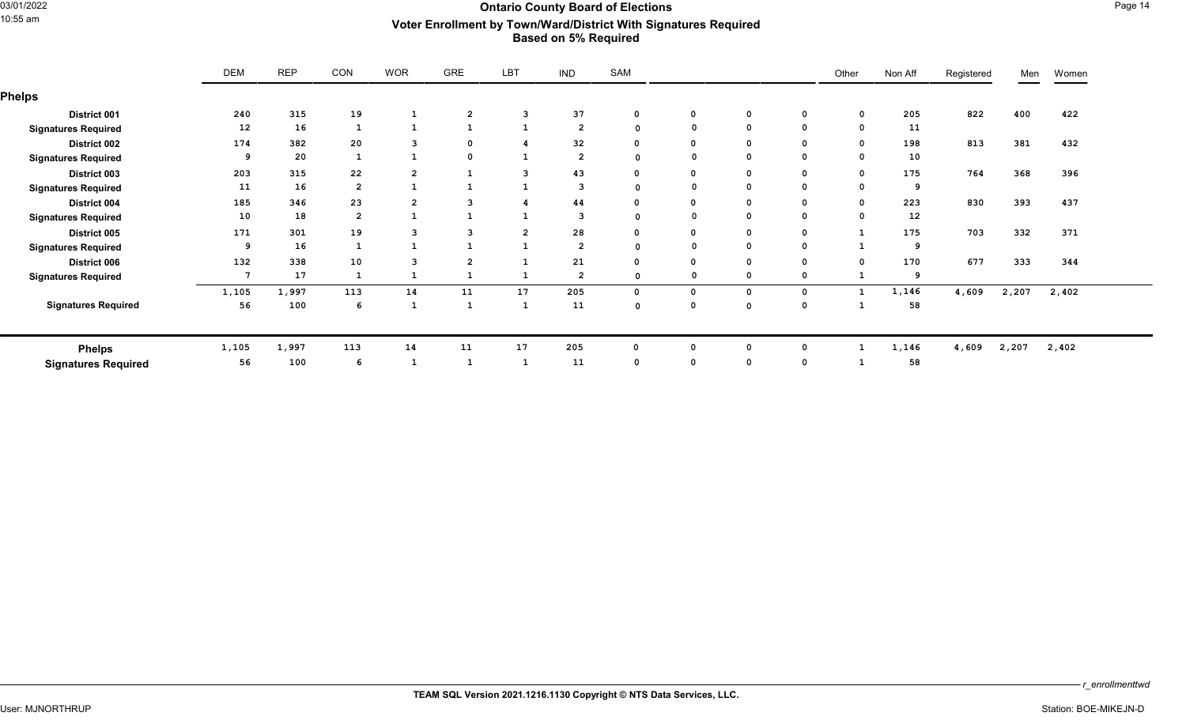### Ontario County Board of Elections<br>10:55 am **Mark Page 14**<br>10:55 am **Mark Providence Accounty Actor Encollment by Town (March District With Signatures Boquired** 10:55 am **Voter Enrollment by Town/Ward/District With Signatures Required Based on 5% Required**

|                            | <b>DEM</b> | <b>REP</b> | CON            | <b>WOR</b>     | <b>GRE</b>     | LBT            | <b>IND</b>     | SAM         |              |              |             | Other        | Non Aff           | Registered | Men   | Women |
|----------------------------|------------|------------|----------------|----------------|----------------|----------------|----------------|-------------|--------------|--------------|-------------|--------------|-------------------|------------|-------|-------|
| <b>Phelps</b>              |            |            |                |                |                |                |                |             |              |              |             |              |                   |            |       |       |
| District 001               | 240        | 315        | 19             | $\mathbf{1}$   | $\overline{2}$ | 3              | 37             | 0           | $\mathbf 0$  | $\mathbf 0$  | 0           | $\mathbf{o}$ | 205               | 822        | 400   | 422   |
| <b>Signatures Required</b> | 12         | 16         |                | $\mathbf{1}$   | -1             |                | $\overline{2}$ | $\Omega$    |              | $\mathbf 0$  | 0           |              | 11                |            |       |       |
| District 002               | 174        | 382        | 20             | 3              | 0              |                | 32             | $\Omega$    | 0            | $\mathbf 0$  | 0           | $\Omega$     | 198               | 813        | 381   | 432   |
| <b>Signatures Required</b> | -9         | 20         |                | $\mathbf{1}$   | $\mathbf 0$    |                | $\overline{2}$ | $\Omega$    |              | $\mathbf 0$  | 0           | $\Omega$     | 10                |            |       |       |
| District 003               | 203        | 315        | 22             | $\overline{2}$ | $\mathbf{1}$   | 3              | 43             | $\Omega$    | $\mathbf{o}$ | $\mathbf 0$  | 0           | $\mathbf 0$  | 175               | 764        | 368   | 396   |
| <b>Signatures Required</b> | 11         | 16         | $\overline{2}$ | $\mathbf{1}$   | -1             |                | 3              | $\Omega$    |              | $\mathbf{o}$ | 0           |              | 9                 |            |       |       |
| District 004               | 185        | 346        | 23             | $\overline{2}$ | 3              |                | 44             | $\Omega$    | 0            | $\mathbf 0$  | 0           | $\mathbf 0$  | 223               | 830        | 393   | 437   |
| <b>Signatures Required</b> | 10         | 18         | $\overline{2}$ | $\mathbf{1}$   | $\mathbf{1}$   |                | 3              | $\Omega$    |              | $\mathbf{o}$ | 0           | $\Omega$     | $12 \overline{ }$ |            |       |       |
| District 005               | 171        | 301        | 19             | 3              | 3              | $\overline{2}$ | 28             | $\Omega$    | $\mathbf 0$  | $\mathbf 0$  | 0           | $\mathbf{1}$ | 175               | 703        | 332   | 371   |
| <b>Signatures Required</b> | 9          | 16         |                |                |                |                | $\overline{2}$ | $\Omega$    |              | $\mathbf 0$  | $\mathbf 0$ |              | ۰q                |            |       |       |
| District 006               | 132        | 338        | 10             | 3              | $\overline{2}$ |                | 21             | $\Omega$    | $\mathbf 0$  | $\mathbf 0$  | $\mathbf 0$ | $\mathbf 0$  | 170               | 677        | 333   | 344   |
| <b>Signatures Required</b> |            | 17         |                |                | -1             |                | $\overline{2}$ | $\Omega$    |              | 0            | 0           |              | 9                 |            |       |       |
|                            | 1,105      | 1,997      | 113            | 14             | 11             | 17             | 205            | $\mathbf 0$ | $\mathbf 0$  | $\mathbf 0$  | $\mathbf 0$ |              | 1,146             | 4,609      | 2,207 | 2,402 |
| <b>Signatures Required</b> | 56         | 100        | 6              | $\mathbf{1}$   | $\mathbf{1}$   |                | 11             | $\Omega$    | $\mathbf 0$  | $\Omega$     | 0           |              | 58                |            |       |       |
| <b>Phelps</b>              | 1,105      | 1,997      | 113            | 14             | 11             | 17             | 205            | $\Omega$    | 0            | $\mathbf 0$  | 0           |              | 1,146             | 4,609      | 2,207 | 2,402 |
| <b>Signatures Required</b> | 56         | 100        | 6              |                | $\mathbf{1}$   |                | 11             | $\Omega$    | 0            | $\Omega$     | 0           |              | 58                |            |       |       |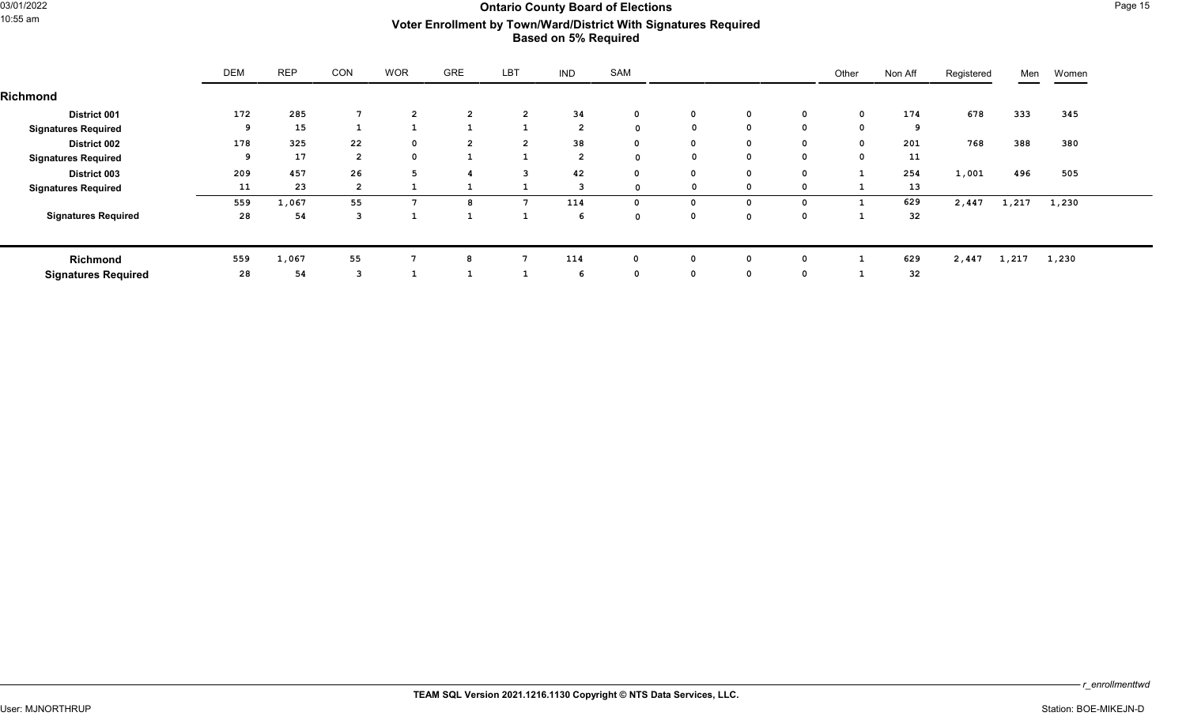## Ontario County Board of Elections<br>10:55 am **Mark Page 15**<br>10:55 am **Mark Providence Accounty Actor Encollment by Town (March District With Signatures Boquired** 10:55 am **Voter Enrollment by Town/Ward/District With Signatures Required Based on 5% Required**

| Richmond                   | DEM | <b>REP</b> | <b>CON</b>     | <b>WOR</b>     | <b>GRE</b>     | LBT            | <b>IND</b>     | SAM          |              |              |             | Other        | Non Aff | Registered | Men   | Women |
|----------------------------|-----|------------|----------------|----------------|----------------|----------------|----------------|--------------|--------------|--------------|-------------|--------------|---------|------------|-------|-------|
|                            |     |            |                |                |                |                |                |              |              |              |             |              |         |            |       |       |
| <b>District 001</b>        | 172 | 285        | 7              | $\overline{2}$ | $\overline{2}$ | $\overline{2}$ | 34             | $\mathbf 0$  | $\mathbf 0$  | $\mathbf 0$  | $\mathbf 0$ | $\mathbf{o}$ | 174     | 678        | 333   | 345   |
| <b>Signatures Required</b> | 9   | 15         |                |                | $\mathbf{1}$   |                | $\overline{2}$ | 0            |              | $\mathbf{o}$ | $\mathbf 0$ | $\mathbf 0$  | 9       |            |       |       |
| <b>District 002</b>        | 178 | 325        | 22             | $\mathbf 0$    | $\overline{2}$ | $\overline{2}$ | 38             | $\mathbf 0$  | $\mathbf 0$  | $\mathbf 0$  | $\mathbf 0$ | $\mathbf 0$  | 201     | 768        | 388   | 380   |
| <b>Signatures Required</b> | 9   | 17         | $\overline{2}$ | 0              |                |                | $\overline{2}$ | 0            |              | $\mathbf 0$  | 0           | $\mathbf 0$  | 11      |            |       |       |
| District 003               | 209 | 457        | 26             | 5              |                | з              | 42             | $\mathbf{0}$ | $\mathbf 0$  | $\mathbf 0$  | $\mathbf 0$ |              | 254     | 1,001      | 496   | 505   |
| <b>Signatures Required</b> | 11  | 23         | $\overline{2}$ |                |                |                | 3              | 0            |              | 0            | 0           |              | 13      |            |       |       |
|                            | 559 | 1,067      | 55             |                | 8              |                | 114            | 0            | <sup>0</sup> | $\mathbf 0$  | 0           |              | 629     | 2,447      | 1,217 | 1,230 |
| <b>Signatures Required</b> | 28  | 54         | 3              |                |                |                | -6             | $\mathbf 0$  | $\mathbf 0$  | $\mathbf 0$  | 0           |              | 32      |            |       |       |
| Richmond                   | 559 | 1,067      | 55             |                | 8              |                | 114            | 0            | $\Omega$     | 0            | 0           |              | 629     | 2,447      | 1,217 | 1,230 |
| <b>Signatures Required</b> | 28  | 54         | 3              |                | 1              |                | -6             | $\mathbf 0$  | $\mathbf 0$  | $\mathbf 0$  | 0           |              | 32      |            |       |       |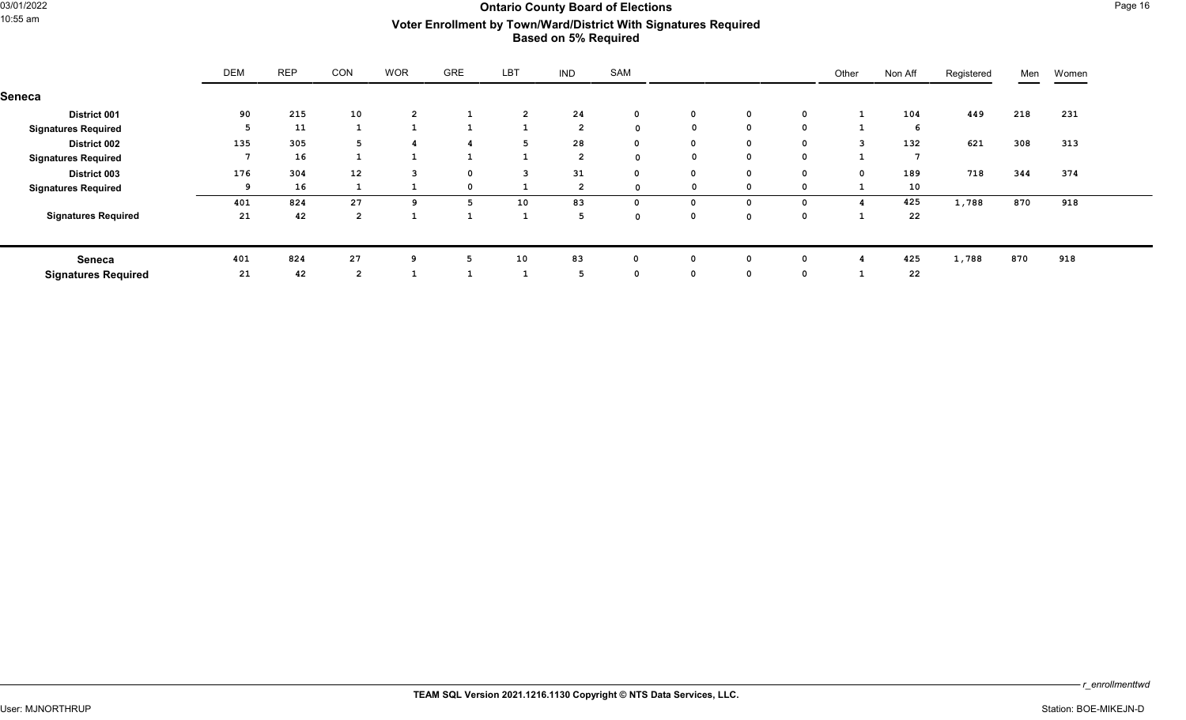## Ontario County Board of Elections<br>10:55 am **Mark Page 16**<br>10:55 am **Mark Providence Accounty Actor Encollment by Town (March District With Signatures Boquired** 10:55 am **Voter Enrollment by Town/Ward/District With Signatures Required Based on 5% Required**

|                            | <b>DEM</b>     | <b>REP</b> | CON            | <b>WOR</b>     | <b>GRE</b>   | LBT            | <b>IND</b>     | SAM          |             |              |   | Other          | Non Aff | Registered | Men | Women |
|----------------------------|----------------|------------|----------------|----------------|--------------|----------------|----------------|--------------|-------------|--------------|---|----------------|---------|------------|-----|-------|
| Seneca                     |                |            |                |                |              |                |                |              |             |              |   |                |         |            |     |       |
| <b>District 001</b>        | 90             | 215        | 10             | $\overline{2}$ |              | $\overline{2}$ | 24             | $\mathbf 0$  | 0           | 0            |   |                | 104     | 449        | 218 | 231   |
| <b>Signatures Required</b> | 5              | 11         |                | -1             | $\mathbf{1}$ |                | $\overline{2}$ | $\mathbf 0$  | $\mathbf 0$ | $\mathbf{o}$ | 0 | ᆠ              | 6       |            |     |       |
| <b>District 002</b>        | 135            | 305        | 5              | 4              | 4            | 5              | 28             | $\mathbf{0}$ | $\mathbf 0$ | $\mathbf{o}$ | 0 | $\mathbf{3}$   | 132     | 621        | 308 | 313   |
| <b>Signatures Required</b> | $\overline{ }$ | 16         |                | <b>T</b>       | 1            |                | $\overline{2}$ | $\mathbf 0$  | 0           | $\mathbf 0$  |   |                | 7       |            |     |       |
| District 003               | 176            | 304        | 12             | 3              | $\mathbf 0$  | 3              | 31             | $\mathbf{0}$ | 0           | $\mathbf 0$  |   | $\Omega$       | 189     | 718        | 344 | 374   |
| <b>Signatures Required</b> | 9              | 16         |                |                | $\mathbf 0$  |                | $\overline{2}$ | $\Omega$     | 0           | $\mathbf 0$  |   |                | 10      |            |     |       |
|                            | 401            | 824        | 27             | ٩              | 5            | 10             | 83             | 0            | 0           | $\mathbf 0$  |   |                | 425     | 1,788      | 870 | 918   |
| <b>Signatures Required</b> | 21             | 42         | $\overline{2}$ | <b>.</b>       | 1            |                | 5              | $\Omega$     | 0           | $\mathbf{0}$ |   | <u>. на та</u> | 22      |            |     |       |
| Seneca                     | 401            | 824        | 27             | -9             | 5            | 10             | 83             | 0            | 0           | $\Omega$     |   |                | 425     | 1,788      | 870 | 918   |
| <b>Signatures Required</b> | 21             | 42         | $\overline{2}$ |                |              |                | 5              | $\mathbf 0$  | $\mathbf 0$ | $\mathbf 0$  |   |                | 22      |            |     |       |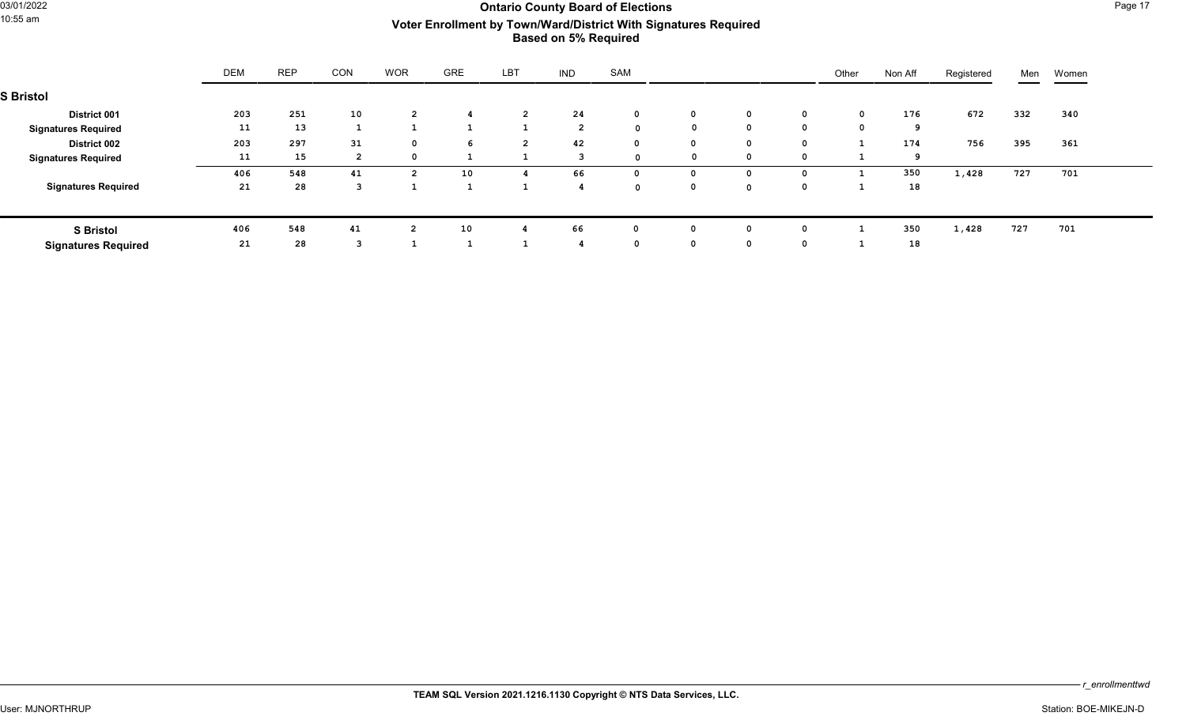## of the County Board of Elections **County Board of Elections** Page 17<br>10:55 am **Mark Standard District Mith Signatures Boquired** 10:55 am **Voter Enrollment by Town/Ward/District With Signatures Required Based on 5% Required**

|                            | <b>DEM</b> | <b>REP</b> | CON | <b>WOR</b>     | GRE | <b>LBT</b>     | <b>IND</b>     | SAM         |              |             |          | Other | Non Aff | Registered | Men | Women |
|----------------------------|------------|------------|-----|----------------|-----|----------------|----------------|-------------|--------------|-------------|----------|-------|---------|------------|-----|-------|
| <b>S</b> Bristol           |            |            |     |                |     |                |                |             |              |             |          |       |         |            |     |       |
| <b>District 001</b>        | 203        | 251        | 10  | $\overline{2}$ | 4   | $\overline{2}$ | 24             | $\mathbf 0$ | $\mathbf 0$  | $\mathbf 0$ | 0        | 0     | 176     | 672        | 332 | 340   |
| <b>Signatures Required</b> | 11         | 13         |     |                |     |                | $\overline{2}$ | $\Omega$    | $^{\circ}$   | $^{\circ}$  | $\Omega$ |       | 9       |            |     |       |
| <b>District 002</b>        | 203        | 297        | 31  | $\Omega$       | 6   | $\overline{2}$ | 42             | $\mathbf 0$ | $\mathbf{0}$ | $^{\circ}$  | 0        |       | 174     | 756        | 395 | 361   |
| <b>Signatures Required</b> | 11         | 15         | ຳ   | $\Omega$       |     |                | 3              | $\sim$      | $^{\circ}$   | $\mathbf 0$ | $\Omega$ |       | 9       |            |     |       |
|                            | 406        | 548        | 41  | $\overline{2}$ | 10  |                | 66             | $\Omega$    | 0            | 0           |          |       | 350     | 1,428      | 727 | 701   |
| <b>Signatures Required</b> | 21         | 28         |     |                |     |                |                | $\sim$      | $^{\circ}$   | $\mathbf 0$ |          |       | 18      |            |     |       |
|                            |            |            |     |                |     |                |                |             |              |             |          |       |         |            |     |       |
| <b>S</b> Bristol           | 406        | 548        | 41  | $\overline{2}$ | 10  |                | 66             |             |              | 0           |          |       | 350     | 1,428      | 727 | 701   |
| <b>Signatures Required</b> | 21         | 28         |     |                |     |                |                | $\Omega$    | $\mathbf{0}$ | $\mathbf 0$ | 0        |       | 18      |            |     |       |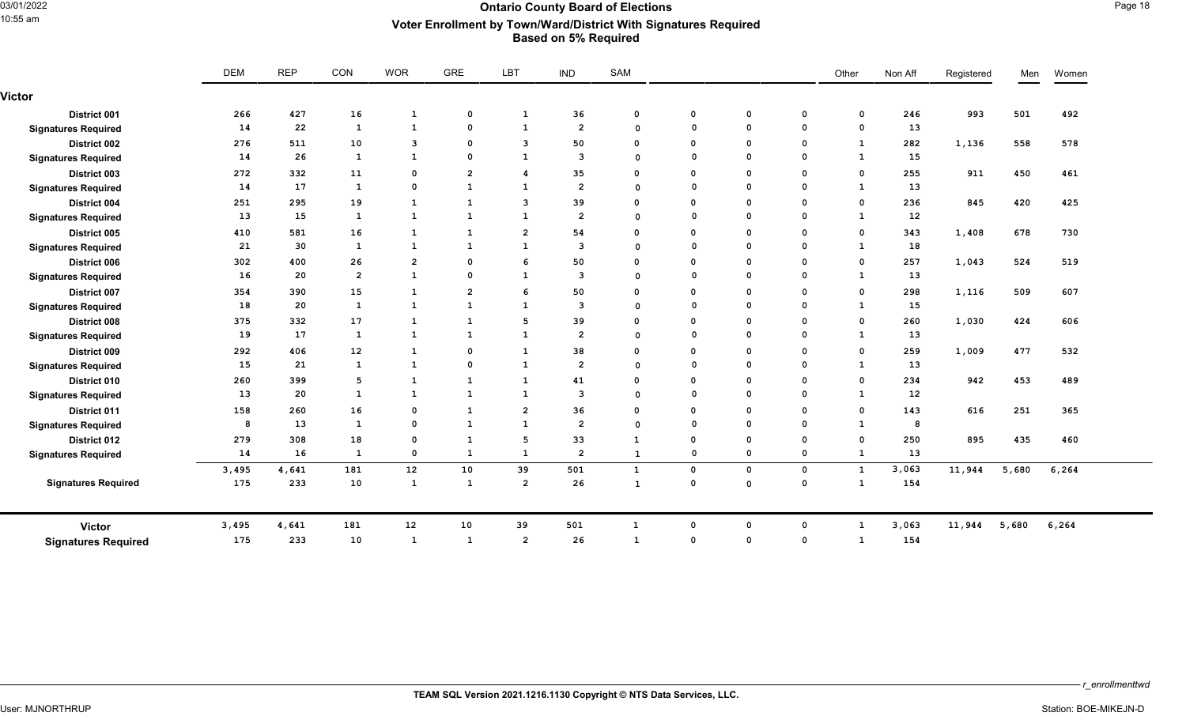### Ontario County Board of Elections<br>10:55 am **Mark Page 18**<br>10:55 am **Mark Providence Accounty Mark Power Mith Signatures Boquired** 10:55 am **Voter Enrollment by Town/Ward/District With Signatures Required Based on 5% Required**

|                            | <b>DEM</b> |       | <b>REP</b>        |                         |                |                |                |              |              |              | CON         | <b>WOR</b>   | GRE               | LBT    | <b>IND</b> | SAM   |  |  |  | Other | Non Aff | Registered | Men | Women |
|----------------------------|------------|-------|-------------------|-------------------------|----------------|----------------|----------------|--------------|--------------|--------------|-------------|--------------|-------------------|--------|------------|-------|--|--|--|-------|---------|------------|-----|-------|
| Victor                     |            |       |                   |                         |                |                |                |              |              |              |             |              |                   |        |            |       |  |  |  |       |         |            |     |       |
| District 001               | 266        | 427   | 16                | $\mathbf{1}$            | $\mathbf 0$    | 1              | 36             | $\mathbf 0$  | $\mathbf{o}$ | $\mathbf 0$  | $\mathbf 0$ | $\mathbf{o}$ | 246               | 993    | 501        | 492   |  |  |  |       |         |            |     |       |
| <b>Signatures Required</b> | 14         | 22    | 1                 | $\mathbf{1}$            | $\mathbf 0$    | 1              | $\overline{2}$ | $\Omega$     | $\Omega$     | $\mathsf{o}$ | $\mathbf 0$ | $\mathbf 0$  | 13                |        |            |       |  |  |  |       |         |            |     |       |
| District 002               | 276        | 511   | 10                | $\overline{\mathbf{3}}$ | $\mathbf 0$    | 3              | 50             | $\Omega$     | 0            | $\mathbf 0$  | $\mathbf 0$ | 1            | 282               | 1,136  | 558        | 578   |  |  |  |       |         |            |     |       |
| <b>Signatures Required</b> | 14         | 26    | 1                 | $\mathbf{1}$            | $\mathbf 0$    | $\mathbf{1}$   | 3              | $\Omega$     | $\Omega$     | $\mathbf 0$  | $\Omega$    | $\mathbf{1}$ | 15                |        |            |       |  |  |  |       |         |            |     |       |
| District 003               | 272        | 332   | 11                | $\mathbf 0$             | $\overline{2}$ | 4              | 35             | $\Omega$     | $\Omega$     | $\mathbf{o}$ | 0           | $\mathbf{o}$ | 255               | 911    | 450        | 461   |  |  |  |       |         |            |     |       |
| <b>Signatures Required</b> | 14         | 17    | 1                 | $\mathbf 0$             | <b>1</b>       | 1              | $\overline{2}$ | $\Omega$     | $\Omega$     | $\mathbf{o}$ | $\mathbf 0$ | <sup>1</sup> | 13                |        |            |       |  |  |  |       |         |            |     |       |
| District 004               | 251        | 295   | 19                | 1                       | $\mathbf{1}$   | 3              | 39             | $\Omega$     | $\Omega$     | $\mathbf 0$  | $\mathbf 0$ | $\mathbf 0$  | 236               | 845    | 420        | 425   |  |  |  |       |         |            |     |       |
| <b>Signatures Required</b> | 13         | 15    | 1                 | $\mathbf{1}$            | <b>1</b>       | 1              | $\overline{2}$ | $\Omega$     | $\Omega$     | $\mathbf 0$  | $\mathbf 0$ | 1            | 12                |        |            |       |  |  |  |       |         |            |     |       |
| District 005               | 410        | 581   | 16                | 1                       | $\mathbf{1}$   | $\overline{2}$ | 54             | $\Omega$     | $\mathbf 0$  | $\mathbf 0$  | $\mathbf 0$ | $\mathbf 0$  | 343               | 1,408  | 678        | 730   |  |  |  |       |         |            |     |       |
| <b>Signatures Required</b> | 21         | 30    | 1                 | $\mathbf{1}$            | $\mathbf{1}$   | 1              | 3              | $\Omega$     | $\Omega$     | $\mathbf 0$  | $\mathbf 0$ | 1            | 18                |        |            |       |  |  |  |       |         |            |     |       |
| District 006               | 302        | 400   | 26                | $\overline{2}$          | $\mathbf 0$    | 6              | 50             | $\Omega$     | 0            | $\mathbf 0$  | $\mathbf 0$ | $\mathbf{o}$ | 257               | 1,043  | 524        | 519   |  |  |  |       |         |            |     |       |
| <b>Signatures Required</b> | 16         | 20    | $\overline{2}$    | $\mathbf{1}$            | $\mathbf 0$    | 1              | 3              | $\Omega$     | $\Omega$     | $\mathbf{o}$ | $\Omega$    | $\mathbf{1}$ | 13                |        |            |       |  |  |  |       |         |            |     |       |
| <b>District 007</b>        | 354        | 390   | 15                | $\mathbf{1}$            | $\overline{2}$ | 6              | 50             | $\Omega$     | $\Omega$     | $\mathbf 0$  | $\mathbf 0$ | $\mathbf 0$  | 298               | 1,116  | 509        | 607   |  |  |  |       |         |            |     |       |
| <b>Signatures Required</b> | 18         | 20    | 1                 | 1                       | <b>1</b>       | 1              | 3              | $\Omega$     | $\Omega$     | $\mathbf{o}$ | $\mathbf 0$ | 1            | 15                |        |            |       |  |  |  |       |         |            |     |       |
| <b>District 008</b>        | 375        | 332   | 17                | <sup>1</sup>            | $\mathbf{1}$   | 5              | 39             | $\Omega$     | 0            | $\mathbf{o}$ | 0           | $\mathbf 0$  | 260               | 1,030  | 424        | 606   |  |  |  |       |         |            |     |       |
| <b>Signatures Required</b> | 19         | 17    | 1                 | $\mathbf{1}$            | $\mathbf{1}$   | $\mathbf{1}$   | $\overline{2}$ | $\Omega$     | $\Omega$     | $\mathbf 0$  | $\mathbf 0$ | 1            | 13                |        |            |       |  |  |  |       |         |            |     |       |
| District 009               | 292        | 406   | $12 \overline{ }$ | $\mathbf{1}$            | $\mathbf 0$    | 1              | 38             | $\Omega$     | $\Omega$     | $\mathbf 0$  | $\mathbf 0$ | $\mathbf 0$  | 259               | 1,009  | 477        | 532   |  |  |  |       |         |            |     |       |
| <b>Signatures Required</b> | 15         | 21    | 1                 | $\mathbf{1}$            | $\mathbf 0$    | 1              | $\overline{2}$ | $\Omega$     | $\Omega$     | $\mathbf 0$  | $\Omega$    | 1            | 13                |        |            |       |  |  |  |       |         |            |     |       |
| District 010               | 260        | 399   | 5                 | $\mathbf{1}$            | $\mathbf{1}$   | 1              | 41             | $\Omega$     | $\mathbf 0$  | $\mathbf 0$  | $\mathbf 0$ | $\mathbf 0$  | 234               | 942    | 453        | 489   |  |  |  |       |         |            |     |       |
| <b>Signatures Required</b> | 13         | 20    | $\mathbf{1}$      | 1                       | $\mathbf{1}$   | $\mathbf{1}$   | 3              | $\Omega$     | $\Omega$     | $\mathbf 0$  | $\mathbf 0$ | $\mathbf{1}$ | $12 \overline{ }$ |        |            |       |  |  |  |       |         |            |     |       |
| District 011               | 158        | 260   | 16                | $\mathbf 0$             | $\mathbf{1}$   | $\mathbf{2}$   | 36             | $\Omega$     | 0            | $\mathbf 0$  | 0           | $\mathbf{o}$ | 143               | 616    | 251        | 365   |  |  |  |       |         |            |     |       |
| <b>Signatures Required</b> | 8          | 13    | 1                 | $\mathbf 0$             | $\mathbf{1}$   | 1              | $\overline{2}$ | $\Omega$     | $\Omega$     | $\mathbf 0$  | $\mathbf 0$ | $\mathbf{1}$ | 8                 |        |            |       |  |  |  |       |         |            |     |       |
| District 012               | 279        | 308   | 18                | $\mathbf 0$             | $\mathbf{1}$   | 5              | 33             | 1            | $\mathbf 0$  | $\mathbf{o}$ | 0           | $\mathbf{o}$ | 250               | 895    | 435        | 460   |  |  |  |       |         |            |     |       |
| <b>Signatures Required</b> | 14         | 16    | $\mathbf{1}$      | $\mathbf{o}$            | $\mathbf{1}$   | $\mathbf{1}$   | $\overline{2}$ | $\mathbf{1}$ | $\mathbf 0$  | $\mathbf 0$  | 0           | $\mathbf{1}$ | 13                |        |            |       |  |  |  |       |         |            |     |       |
|                            | 3,495      | 4,641 | 181               | 12                      | 10             | 39             | 501            | $\mathbf{1}$ | $\mathbf 0$  | $\mathbf 0$  | 0           | $\mathbf{1}$ | 3,063             | 11,944 | 5,680      | 6,264 |  |  |  |       |         |            |     |       |
| <b>Signatures Required</b> | 175        | 233   | 10                | $\mathbf{1}$            | $\mathbf{1}$   | $\overline{2}$ | 26             | 1            | $\Omega$     | $\mathbf 0$  | $\mathbf 0$ | $\mathbf{1}$ | 154               |        |            |       |  |  |  |       |         |            |     |       |
| <b>Victor</b>              | 3,495      | 4,641 | 181               | 12                      | 10             | 39             | 501            | $\mathbf{1}$ | $\Omega$     | $\mathbf 0$  | $\mathbf 0$ | $\mathbf{1}$ | 3,063             | 11,944 | 5,680      | 6,264 |  |  |  |       |         |            |     |       |
| <b>Signatures Required</b> | 175        | 233   | 10                | 1                       | $\mathbf{1}$   | $\overline{2}$ | 26             | $\mathbf{1}$ | $\Omega$     | $\mathbf 0$  | $\Omega$    | $\mathbf{1}$ | 154               |        |            |       |  |  |  |       |         |            |     |       |